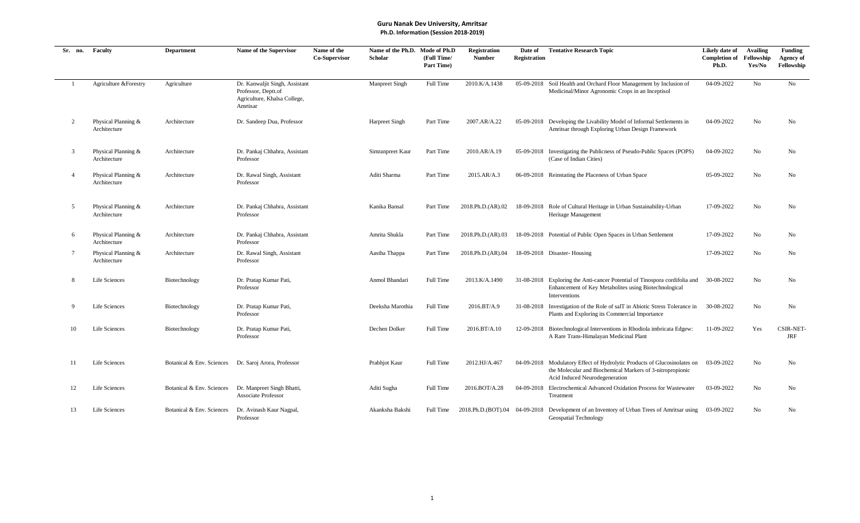| Sr. no.        | Faculty                             | <b>Department</b>         | Name of the Supervisor                                                                            | Name of the<br><b>Co-Supervisor</b> | Name of the Ph.D.<br><b>Scholar</b> | Mode of Ph.D<br>(Full Time/<br>Part Time) | <b>Registration</b><br><b>Number</b> | Date of<br>Registration | <b>Tentative Research Topic</b>                                                                                                                                         | Likely date of<br><b>Completion of</b><br>Ph.D. | <b>Availing</b><br>Fellowship<br>Yes/No | <b>Funding</b><br>Agency of<br>Fellowship |
|----------------|-------------------------------------|---------------------------|---------------------------------------------------------------------------------------------------|-------------------------------------|-------------------------------------|-------------------------------------------|--------------------------------------|-------------------------|-------------------------------------------------------------------------------------------------------------------------------------------------------------------------|-------------------------------------------------|-----------------------------------------|-------------------------------------------|
|                | Agriculture & Forestry              | Agriculture               | Dr. Kanwaljit Singh, Assistant<br>Professor, Deptt.of<br>Agriculture, Khalsa College,<br>Amrtisar |                                     | Manpreet Singh                      | Full Time                                 | 2010.K/A.1438                        |                         | 05-09-2018 Soil Health and Orchard Floor Management by Inclusion of<br>Medicinal/Minor Agronomic Crops in an Inceptisol                                                 | 04-09-2022                                      | No                                      | No                                        |
| 2              | Physical Planning &<br>Architecture | Architecture              | Dr. Sandeep Dua, Professor                                                                        |                                     | <b>Harpreet Singh</b>               | Part Time                                 | 2007.AR/A.22                         |                         | 05-09-2018 Developing the Livability Model of Informal Settlements in<br>Amritsar through Exploring Urban Design Framework                                              | 04-09-2022                                      | No                                      | No                                        |
| $\overline{3}$ | Physical Planning &<br>Architecture | Architecture              | Dr. Pankaj Chhabra, Assistant<br>Professor                                                        |                                     | Simranpreet Kaur                    | Part Time                                 | 2010.AR/A.19                         |                         | 05-09-2018 Investigating the Publicness of Pseudo-Public Spaces (POPS)<br>(Case of Indian Cities)                                                                       | 04-09-2022                                      | No                                      | No                                        |
| $\overline{4}$ | Physical Planning &<br>Architecture | Architecture              | Dr. Rawal Singh, Assistant<br>Professor                                                           |                                     | Aditi Sharma                        | Part Time                                 | 2015.AR/A.3                          |                         | 06-09-2018 Reinstating the Placeness of Urban Space                                                                                                                     | 05-09-2022                                      | No                                      | No                                        |
| -5             | Physical Planning &<br>Architecture | Architecture              | Dr. Pankaj Chhabra, Assistant<br>Professor                                                        |                                     | Kanika Bansal                       | Part Time                                 | 2018.Ph.D.(AR).02                    |                         | 18-09-2018 Role of Cultural Heritage in Urban Sustainability-Urban<br>Heritage Management                                                                               | 17-09-2022                                      | N <sub>o</sub>                          | No                                        |
| 6              | Physical Planning &<br>Architecture | Architecture              | Dr. Pankaj Chhabra, Assistant<br>Professor                                                        |                                     | Amrita Shukla                       | Part Time                                 | 2018.Ph.D.(AR).03                    |                         | 18-09-2018 Potential of Public Open Spaces in Urban Settlement                                                                                                          | 17-09-2022                                      | No                                      | No                                        |
| 7              | Physical Planning &<br>Architecture | Architecture              | Dr. Rawal Singh, Assistant<br>Professor                                                           |                                     | Aastha Thappa                       | Part Time                                 | 2018.Ph.D.(AR).04                    |                         | 18-09-2018 Disaster-Housing                                                                                                                                             | 17-09-2022                                      | No                                      | No                                        |
| 8              | Life Sciences                       | Biotechnology             | Dr. Pratap Kumar Pati,<br>Professor                                                               |                                     | Anmol Bhandari                      | <b>Full Time</b>                          | 2013.K/A.1490                        |                         | 31-08-2018 Exploring the Anti-cancer Potential of Tinospora cordifolia and<br>Enhancement of Key Metabolites using Biotechnological<br>Interventions                    | 30-08-2022                                      | No                                      | No                                        |
| -9             | Life Sciences                       | Biotechnology             | Dr. Pratap Kumar Pati,<br>Professor                                                               |                                     | Deeksha Marothia                    | Full Time                                 | 2016.BT/A.9                          |                         | 31-08-2018 Investigation of the Role of salT in Abiotic Stress Tolerance in<br>Plants and Exploring its Commercial Importance                                           | 30-08-2022                                      | No                                      | No                                        |
| 10             | Life Sciences                       | Biotechnology             | Dr. Pratap Kumar Pati,<br>Professor                                                               |                                     | Dechen Dolker                       | Full Time                                 | 2016.BT/A.10                         |                         | 12-09-2018 Biotechnological Interventions in Rhodiola imbricata Edgew:<br>A Rare Trans-Himalayan Medicinal Plant                                                        | 11-09-2022                                      | Yes                                     | <b>CSIR-NET-</b><br><b>JRF</b>            |
| 11             | Life Sciences                       |                           | Botanical & Env. Sciences Dr. Saroj Arora, Professor                                              |                                     | Prabhjot Kaur                       | Full Time                                 | 2012.HJ/A.467                        |                         | 04-09-2018 Modulatory Effect of Hydrolytic Products of Glucosinolates on<br>the Molecular and Biochemical Markers of 3-nitropropionic<br>Acid Induced Neurodegeneration | 03-09-2022                                      | No                                      | No                                        |
| 12             | Life Sciences                       | Botanical & Env. Sciences | Dr. Manpreet Singh Bhatti,<br><b>Associate Professor</b>                                          |                                     | Aditi Sugha                         | Full Time                                 | 2016.BOT/A.28                        |                         | 04-09-2018 Electrochemical Advanced Oxidation Process for Wastewater<br>Treatment                                                                                       | 03-09-2022                                      | No                                      | No                                        |
| 13             | Life Sciences                       | Botanical & Env. Sciences | Dr. Avinash Kaur Nagpal,<br>Professor                                                             |                                     | Akanksha Bakshi                     | Full Time                                 |                                      |                         | 2018.Ph.D.(BOT).04 04-09-2018 Development of an Inventory of Urban Trees of Amritsar using<br>Geospatial Technology                                                     | 03-09-2022                                      | No                                      | No                                        |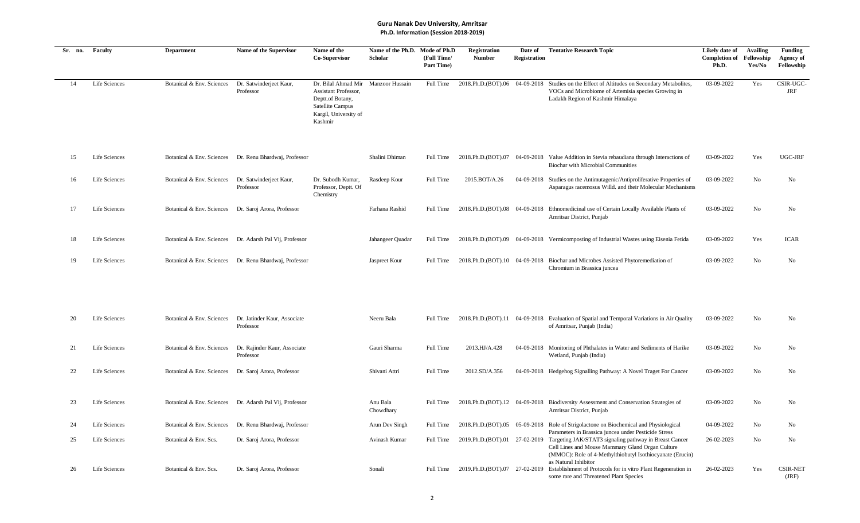| Sr. no. | Faculty       | <b>Department</b>         | Name of the Supervisor                                  | Name of the<br>Co-Supervisor                                                                                            | Name of the Ph.D. Mode of Ph.D<br><b>Scholar</b> | (Full Time/<br>Part Time) | <b>Registration</b><br><b>Number</b> | Date of<br>Registration | <b>Tentative Research Topic</b>                                                                                                                                                                                                 | Likely date of<br><b>Completion of</b> Fellowship<br>Ph.D. | Availing<br>Yes/No | <b>Funding</b><br><b>Agency of</b><br>Fellowship |
|---------|---------------|---------------------------|---------------------------------------------------------|-------------------------------------------------------------------------------------------------------------------------|--------------------------------------------------|---------------------------|--------------------------------------|-------------------------|---------------------------------------------------------------------------------------------------------------------------------------------------------------------------------------------------------------------------------|------------------------------------------------------------|--------------------|--------------------------------------------------|
| 14      | Life Sciences | Botanical & Env. Sciences | Dr. Satwinderjeet Kaur,<br>Professor                    | Dr. Bilal Ahmad Mir<br>Assistant Professor,<br>Deptt.of Botany,<br>Satellite Campus<br>Kargil, University of<br>Kashmir | <b>Manzoor Hussain</b>                           | Full Time                 | 2018.Ph.D.(BOT).06                   |                         | 04-09-2018 Studies on the Effect of Altitudes on Secondary Metabolites,<br>VOCs and Microbiome of Artemisia species Growing in<br>Ladakh Region of Kashmir Himalaya                                                             | 03-09-2022                                                 | Yes                | CSIR-UGC-<br><b>JRF</b>                          |
| 15      | Life Sciences |                           | Botanical & Env. Sciences Dr. Renu Bhardwaj, Professor  |                                                                                                                         | Shalini Dhiman                                   | Full Time                 |                                      |                         | 2018.Ph.D. (BOT).07 04-09-2018 Value Addition in Stevia rebaudiana through Interactions of<br><b>Biochar with Microbial Communities</b>                                                                                         | 03-09-2022                                                 | Yes                | UGC-JRF                                          |
| 16      | Life Sciences | Botanical & Env. Sciences | Dr. Satwinderjeet Kaur,<br>Professor                    | Dr. Subodh Kumar,<br>Professor, Deptt. Of<br>Chemistry                                                                  | Rasdeep Kour                                     | Full Time                 | 2015.BOT/A.26                        |                         | 04-09-2018 Studies on the Antimutagenic/Antiproliferative Properties of<br>Asparagus racemosus Willd. and their Molecular Mechanisms                                                                                            | 03-09-2022                                                 | No                 | No                                               |
| 17      | Life Sciences |                           | Botanical & Env. Sciences Dr. Saroj Arora, Professor    |                                                                                                                         | Farhana Rashid                                   | Full Time                 |                                      |                         | 2018.Ph.D.(BOT).08 04-09-2018 Ethnomedicinal use of Certain Locally Available Plants of<br>Amritsar District, Punjab                                                                                                            | 03-09-2022                                                 | No                 | No                                               |
| 18      | Life Sciences |                           | Botanical & Env. Sciences Dr. Adarsh Pal Vij, Professor |                                                                                                                         | Jahangeer Quadar                                 | Full Time                 |                                      |                         | 2018.Ph.D.(BOT).09 04-09-2018 Vermicomposting of Industrial Wastes using Eisenia Fetida                                                                                                                                         | 03-09-2022                                                 | Yes                | <b>ICAR</b>                                      |
| 19      | Life Sciences |                           | Botanical & Env. Sciences Dr. Renu Bhardwaj, Professor  |                                                                                                                         | Jaspreet Kour                                    | Full Time                 |                                      |                         | 2018.Ph.D.(BOT).10 04-09-2018 Biochar and Microbes Assisted Phytoremediation of<br>Chromium in Brassica juncea                                                                                                                  | 03-09-2022                                                 | N <sub>o</sub>     | No                                               |
| 20      | Life Sciences | Botanical & Env. Sciences | Dr. Jatinder Kaur, Associate<br>Professor               |                                                                                                                         | Neeru Bala                                       | Full Time                 |                                      |                         | 2018.Ph.D.(BOT).11 04-09-2018 Evaluation of Spatial and Temporal Variations in Air Quality<br>of Amritsar, Punjab (India)                                                                                                       | 03-09-2022                                                 | No                 | No                                               |
| 21      | Life Sciences | Botanical & Env. Sciences | Dr. Rajinder Kaur, Associate<br>Professor               |                                                                                                                         | Gauri Sharma                                     | Full Time                 | 2013.HJ/A.428                        |                         | 04-09-2018 Monitoring of Phthalates in Water and Sediments of Harike<br>Wetland, Punjab (India)                                                                                                                                 | 03-09-2022                                                 | No                 | No                                               |
| 22      | Life Sciences | Botanical & Env. Sciences | Dr. Saroj Arora, Professor                              |                                                                                                                         | Shivani Attri                                    | Full Time                 | 2012.SD/A.356                        |                         | 04-09-2018 Hedgehog Signalling Pathway: A Novel Traget For Cancer                                                                                                                                                               | 03-09-2022                                                 | No                 | No                                               |
| 23      | Life Sciences |                           | Botanical & Env. Sciences Dr. Adarsh Pal Vij, Professor |                                                                                                                         | Anu Bala<br>Chowdhary                            |                           |                                      |                         | Full Time 2018.Ph.D.(BOT).12 04-09-2018 Biodiversity Assessment and Conservation Strategies of<br>Amritsar District, Punjab                                                                                                     | 03-09-2022                                                 | No                 | No                                               |
| 24      | Life Sciences | Botanical & Env. Sciences | Dr. Renu Bhardwaj, Professor                            |                                                                                                                         | Arun Dev Singh                                   | Full Time                 |                                      |                         | 2018.Ph.D.(BOT).05 05-09-2018 Role of Strigolactone on Biochemical and Physiological                                                                                                                                            | 04-09-2022                                                 | No                 | No                                               |
| 25      | Life Sciences | Botanical & Env. Scs.     | Dr. Saroj Arora, Professor                              |                                                                                                                         | Avinash Kumar                                    | Full Time                 | 2019.Ph.D.(BOT).01 27-02-2019        |                         | Parameters in Brassica juncea under Pesticide Stress<br>Targeting JAK/STAT3 signaling pathway in Breast Cancer<br>Cell Lines and Mouse Mammary Gland Organ Culture<br>(MMOC): Role of 4-Methylthiobutyl Isothiocyanate (Erucin) | 26-02-2023                                                 | No                 | No                                               |
| 26      | Life Sciences | Botanical & Env. Scs.     | Dr. Saroj Arora, Professor                              |                                                                                                                         | Sonali                                           | Full Time                 | 2019.Ph.D.(BOT).07 27-02-2019        |                         | as Natural Inhibitor<br>Establishment of Protocols for in vitro Plant Regeneration in<br>some rare and Threatened Plant Species                                                                                                 | 26-02-2023                                                 | Yes                | <b>CSIR-NET</b><br>(JRF)                         |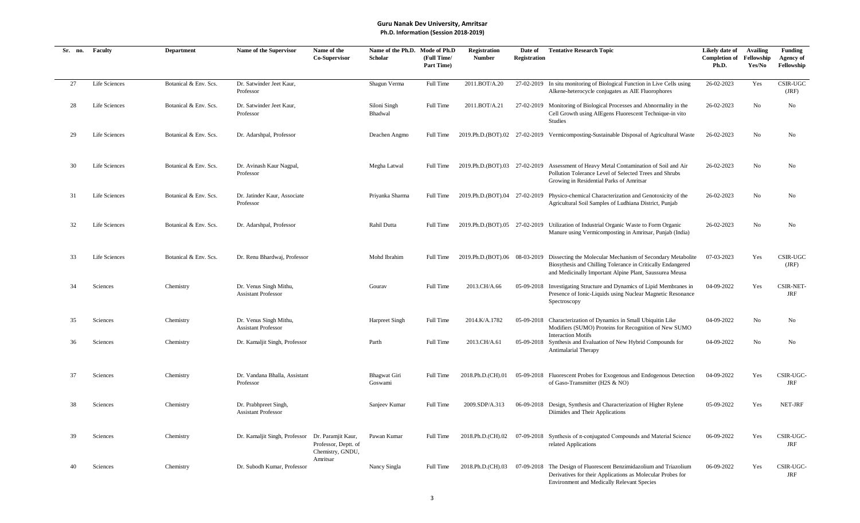| Sr. no. | Faculty       | <b>Department</b>     | Name of the Supervisor                               | Name of the<br>Co-Supervisor                                   | Name of the Ph.D. Mode of Ph.D<br>Scholar | (Full Time/<br>Part Time) | Registration<br><b>Number</b> | Date of<br><b>Registration</b> | <b>Tentative Research Topic</b>                                                                                                                                                                                    | Likely date of<br><b>Completion of</b><br>Ph.D. | <b>Availing</b><br>Fellowship<br>Yes/No | Funding<br>Agency of<br>Fellowship |
|---------|---------------|-----------------------|------------------------------------------------------|----------------------------------------------------------------|-------------------------------------------|---------------------------|-------------------------------|--------------------------------|--------------------------------------------------------------------------------------------------------------------------------------------------------------------------------------------------------------------|-------------------------------------------------|-----------------------------------------|------------------------------------|
| 27      | Life Sciences | Botanical & Env. Scs. | Dr. Satwinder Jeet Kaur,<br>Professor                |                                                                | Shagun Verma                              | Full Time                 | 2011.BOT/A.20                 |                                | 27-02-2019 In situ monitoring of Biological Function in Live Cells using<br>Alkene-heterocycle conjugates as AIE Fluorophores                                                                                      | 26-02-2023                                      | Yes                                     | CSIR-UGC<br>(JRF)                  |
| 28      | Life Sciences | Botanical & Env. Scs. | Dr. Satwinder Jeet Kaur,<br>Professor                |                                                                | Siloni Singh<br>Bhadwal                   | Full Time                 | 2011.BOT/A.21                 |                                | 27-02-2019 Monitoring of Biological Processes and Abnormality in the<br>Cell Growth using AIEgens Fluorescent Technique-in vito<br>Studies                                                                         | 26-02-2023                                      | No                                      | No                                 |
| 29      | Life Sciences | Botanical & Env. Scs. | Dr. Adarshpal, Professor                             |                                                                | Deachen Angmo                             | Full Time                 |                               |                                | 2019.Ph.D.(BOT).02 27-02-2019 Vermicomposting-Sustainable Disposal of Agricultural Waste                                                                                                                           | 26-02-2023                                      | No                                      | No                                 |
| 30      | Life Sciences | Botanical & Env. Scs. | Dr. Avinash Kaur Nagpal,<br>Professor                |                                                                | Megha Latwal                              | Full Time                 |                               |                                | 2019.Ph.D.(BOT).03 27-02-2019 Assessment of Heavy Metal Contamination of Soil and Air<br>Pollution Tolerance Level of Selected Trees and Shrubs<br>Growing in Residential Parks of Amritsar                        | 26-02-2023                                      | No                                      | No                                 |
| 31      | Life Sciences | Botanical & Env. Scs. | Dr. Jatinder Kaur, Associate<br>Professor            |                                                                | Priyanka Sharma                           | Full Time                 |                               |                                | 2019.Ph.D.(BOT).04 27-02-2019 Physico-chemical Characterization and Genotoxicity of the<br>Agricultural Soil Samples of Ludhiana District, Punjab                                                                  | 26-02-2023                                      | No                                      | No                                 |
| 32      | Life Sciences | Botanical & Env. Scs. | Dr. Adarshpal, Professor                             |                                                                | Rahil Dutta                               | Full Time                 |                               |                                | 2019.Ph.D.(BOT).05 27-02-2019 Utilization of Industrial Organic Waste to Form Organic<br>Manure using Vermicomposting in Amritsar, Punjab (India)                                                                  | 26-02-2023                                      | No                                      | No                                 |
| 33      | Life Sciences | Botanical & Env. Scs. | Dr. Renu Bhardwaj, Professor                         |                                                                | Mohd Ibrahim                              | Full Time                 |                               |                                | 2019.Ph.D.(BOT).06 08-03-2019 Dissecting the Molecular Mechanism of Secondary Metabolite<br>Biosythesis and Chilling Tolerance in Critically Endangered<br>and Medicinally Important Alpine Plant, Saussurea Meusa | 07-03-2023                                      | Yes                                     | CSIR-UGC<br>(JRF)                  |
| 34      | Sciences      | Chemistry             | Dr. Venus Singh Mithu,<br><b>Assistant Professor</b> |                                                                | Gourav                                    | Full Time                 | 2013.CH/A.66                  |                                | 05-09-2018 Investigating Structure and Dynamics of Lipid Membranes in<br>Presence of Ionic-Liquids using Nuclear Magnetic Resonance<br>Spectroscopy                                                                | 04-09-2022                                      | Yes                                     | <b>CSIR-NET-</b><br>JRF            |
| 35      | Sciences      | Chemistry             | Dr. Venus Singh Mithu,<br><b>Assistant Professor</b> |                                                                | Harpreet Singh                            | Full Time                 | 2014.K/A.1782                 |                                | 05-09-2018 Characterization of Dynamics in Small Ubiquitin Like<br>Modifiers (SUMO) Proteins for Recognition of New SUMO<br><b>Interaction Motifs</b>                                                              | 04-09-2022                                      | No                                      | No                                 |
| 36      | Sciences      | Chemistry             | Dr. Kamaljit Singh, Professor                        |                                                                | Parth                                     | Full Time                 | 2013.CH/A.61                  |                                | 05-09-2018 Synthesis and Evaluation of New Hybrid Compounds for<br>Antimalarial Therapy                                                                                                                            | 04-09-2022                                      | No                                      | No                                 |
| 37      | Sciences      | Chemistry             | Dr. Vandana Bhalla, Assistant<br>Professor           |                                                                | Bhagwat Giri<br>Goswami                   | <b>Full Time</b>          | 2018.Ph.D.(CH).01             |                                | 05-09-2018 Fluorescent Probes for Exogenous and Endogenous Detection<br>of Gaso-Transmitter (H2S & NO)                                                                                                             | 04-09-2022                                      | Yes                                     | CSIR-UGC-<br><b>JRF</b>            |
| 38      | Sciences      | Chemistry             | Dr. Prabhpreet Singh,<br><b>Assistant Professor</b>  |                                                                | Sanjeev Kumar                             | Full Time                 | 2009.SDP/A.313                |                                | 06-09-2018 Design, Synthesis and Characterization of Higher Rylene<br>Diimides and Their Applications                                                                                                              | 05-09-2022                                      | Yes                                     | NET-JRF                            |
| 39      | Sciences      | Chemistry             | Dr. Kamaljit Singh, Professor                        | Dr. Paramjit Kaur,<br>Professor, Deptt. of<br>Chemistry, GNDU, | Pawan Kumar                               | Full Time                 | 2018.Ph.D.(CH).02             |                                | 07-09-2018 Synthesis of $\pi$ -conjugated Compounds and Material Science<br>related Applications                                                                                                                   | 06-09-2022                                      | Yes                                     | CSIR-UGC-<br>JRF                   |
| 40      | Sciences      | Chemistry             | Dr. Subodh Kumar, Professor                          | Amritsar                                                       | Nancy Singla                              | Full Time                 | 2018.Ph.D.(CH).03             |                                | 07-09-2018 The Design of Fluorescent Benzimidazolium and Triazolium<br>Derivatives for their Applications as Molecular Probes for<br><b>Environment and Medically Relevant Species</b>                             | 06-09-2022                                      | Yes                                     | CSIR-UGC-<br><b>JRF</b>            |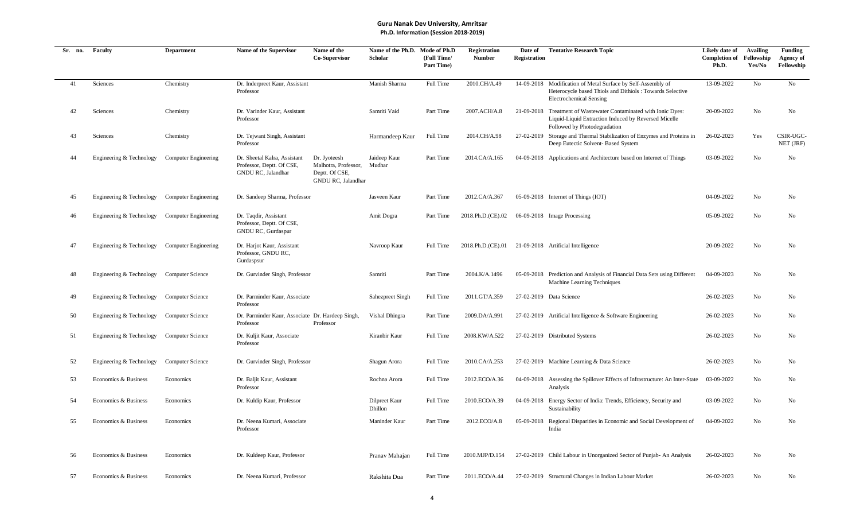| Sr. no. | Faculty                  | <b>Department</b>           | Name of the Supervisor                                                          | Name of the<br><b>Co-Supervisor</b>                                          | Name of the Ph.D. Mode of Ph.D<br>Scholar | (Full Time/<br>Part Time) | <b>Registration</b><br><b>Number</b> | Date of<br><b>Registration</b> | <b>Tentative Research Topic</b>                                                                                                                             | Likely date of<br><b>Completion of</b><br>Ph.D. | <b>Availing</b><br>Fellowship<br>Yes/No | <b>Funding</b><br><b>Agency of</b><br>Fellowship |
|---------|--------------------------|-----------------------------|---------------------------------------------------------------------------------|------------------------------------------------------------------------------|-------------------------------------------|---------------------------|--------------------------------------|--------------------------------|-------------------------------------------------------------------------------------------------------------------------------------------------------------|-------------------------------------------------|-----------------------------------------|--------------------------------------------------|
| 41      | Sciences                 | Chemistry                   | Dr. Inderpreet Kaur, Assistant<br>Professor                                     |                                                                              | Manish Sharma                             | Full Time                 | 2010.CH/A.49                         |                                | 14-09-2018 Modification of Metal Surface by Self-Assembly of<br>Heterocycle based Thiols and Dithiols : Towards Selective<br><b>Electrochemical Sensing</b> | 13-09-2022                                      | No                                      | No                                               |
| 42      | Sciences                 | Chemistry                   | Dr. Varinder Kaur, Assistant<br>Professor                                       |                                                                              | Samriti Vaid                              | Part Time                 | 2007.ACH/A.8                         |                                | 21-09-2018 Treatment of Wastewater Contaminated with Ionic Dyes:<br>Liquid-Liquid Extraction Induced by Reversed Micelle<br>Followed by Photodegradation    | 20-09-2022                                      | No                                      | No                                               |
| 43      | Sciences                 | Chemistry                   | Dr. Tejwant Singh, Assistant<br>Professor                                       |                                                                              | Harmandeep Kaur                           | Full Time                 | 2014.CH/A.98                         |                                | 27-02-2019 Storage and Thermal Stabilization of Enzymes and Proteins in<br>Deep Eutectic Solvent- Based System                                              | 26-02-2023                                      | Yes                                     | CSIR-UGC-<br>NET (JRF)                           |
| 44      | Engineering & Technology | <b>Computer Engineering</b> | Dr. Sheetal Kalra, Assistant<br>Professor, Deptt. Of CSE,<br>GNDU RC, Jalandhar | Dr. Jyoteesh<br>Malhotra, Professor,<br>Deptt. Of CSE,<br>GNDU RC, Jalandhar | Jaideep Kaur<br>Mudhar                    | Part Time                 | 2014.CA/A.165                        |                                | 04-09-2018 Applications and Architecture based on Internet of Things                                                                                        | 03-09-2022                                      | No                                      | No                                               |
| 45      | Engineering & Technology | <b>Computer Engineering</b> | Dr. Sandeep Sharma, Professor                                                   |                                                                              | Jasveen Kaur                              | Part Time                 | 2012.CA/A.367                        |                                | 05-09-2018 Internet of Things (IOT)                                                                                                                         | 04-09-2022                                      | No                                      | No                                               |
| 46      | Engineering & Technology | <b>Computer Engineering</b> | Dr. Taqdir, Assistant<br>Professor, Deptt. Of CSE,<br>GNDU RC, Gurdaspur        |                                                                              | Amit Dogra                                | Part Time                 | 2018.Ph.D.(CE).02                    |                                | 06-09-2018 Image Processing                                                                                                                                 | 05-09-2022                                      | No                                      | No                                               |
| 47      | Engineering & Technology | <b>Computer Engineering</b> | Dr. Harjot Kaur, Assistant<br>Professor, GNDU RC,<br>Gurdaspsur                 |                                                                              | Navroop Kaur                              | Full Time                 |                                      |                                | 2018.Ph.D.(CE).01 21-09-2018 Artificial Intelligence                                                                                                        | 20-09-2022                                      | No                                      | No                                               |
| 48      | Engineering & Technology | Computer Science            | Dr. Gurvinder Singh, Professor                                                  |                                                                              | Samriti                                   | Part Time                 | 2004.K/A.1496                        |                                | 05-09-2018 Prediction and Analysis of Financial Data Sets using Different<br>Machine Learning Techniques                                                    | 04-09-2023                                      | No                                      | No                                               |
| 49      | Engineering & Technology | Computer Science            | Dr. Parminder Kaur, Associate<br>Professor                                      |                                                                              | Sahezpreet Singh                          | Full Time                 | 2011.GT/A.359                        |                                | 27-02-2019 Data Science                                                                                                                                     | 26-02-2023                                      | No                                      | No                                               |
| 50      | Engineering & Technology | Computer Science            | Dr. Parminder Kaur, Associate Dr. Hardeep Singh,<br>Professor                   | Professor                                                                    | Vishal Dhingra                            | Part Time                 | 2009.DA/A.991                        |                                | 27-02-2019 Artificial Intelligence & Software Engineering                                                                                                   | 26-02-2023                                      | No                                      | No                                               |
| 51      | Engineering & Technology | Computer Science            | Dr. Kuljit Kaur, Associate<br>Professor                                         |                                                                              | Kiranbir Kaur                             | Full Time                 | 2008.KW/A.522                        |                                | 27-02-2019 Distributed Systems                                                                                                                              | 26-02-2023                                      | No                                      | No                                               |
| 52      | Engineering & Technology | Computer Science            | Dr. Gurvinder Singh, Professor                                                  |                                                                              | Shagun Arora                              | Full Time                 | 2010.CA/A.253                        |                                | 27-02-2019 Machine Learning & Data Science                                                                                                                  | 26-02-2023                                      | No                                      | No                                               |
| 53      | Economics & Business     | Economics                   | Dr. Baljit Kaur, Assistant<br>Professor                                         |                                                                              | Rochna Arora                              | Full Time                 | 2012.ECO/A.36                        |                                | 04-09-2018 Assessing the Spillover Effects of Infrastructure: An Inter-State<br>Analysis                                                                    | 03-09-2022                                      | No                                      | No                                               |
| 54      | Economics & Business     | Economics                   | Dr. Kuldip Kaur, Professor                                                      |                                                                              | Dilpreet Kaur<br>Dhillon                  | Full Time                 | 2010.ECO/A.39                        |                                | 04-09-2018 Energy Sector of India: Trends, Efficiency, Security and<br>Sustainability                                                                       | 03-09-2022                                      | No                                      | No                                               |
| 55      | Economics & Business     | Economics                   | Dr. Neena Kumari, Associate<br>Professor                                        |                                                                              | Maninder Kaur                             | Part Time                 | 2012.ECO/A.8                         |                                | 05-09-2018 Regional Disparities in Economic and Social Development of<br>India                                                                              | 04-09-2022                                      | No                                      | No                                               |
| 56      | Economics & Business     | Economics                   | Dr. Kuldeep Kaur, Professor                                                     |                                                                              | Pranav Mahajan                            | Full Time                 | 2010.MJP/D.154                       |                                | 27-02-2019 Child Labour in Unorganized Sector of Punjab- An Analysis                                                                                        | 26-02-2023                                      | No                                      | No                                               |
| 57      | Economics & Business     | Economics                   | Dr. Neena Kumari, Professor                                                     |                                                                              | Rakshita Dua                              | Part Time                 | 2011.ECO/A.44                        |                                | 27-02-2019 Structural Changes in Indian Labour Market                                                                                                       | 26-02-2023                                      | No                                      | No                                               |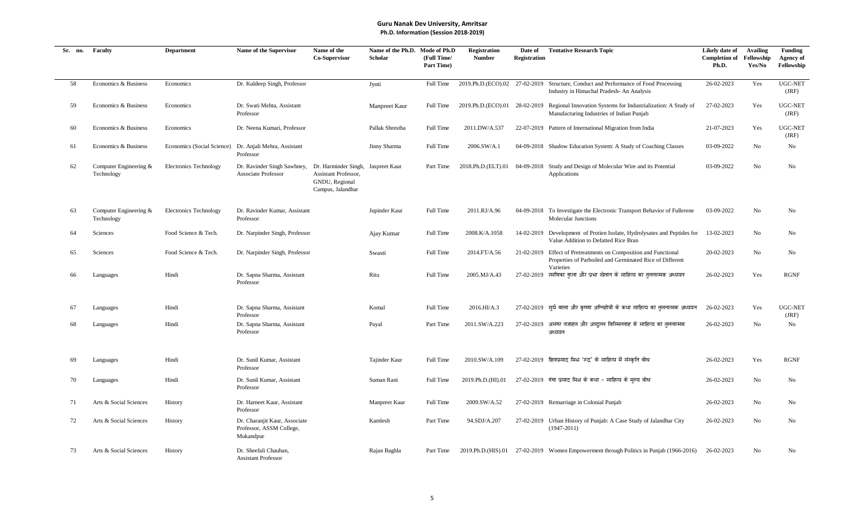| Sr. no. | Faculty                              | <b>Department</b>             | <b>Name of the Supervisor</b>                                          | Name of the<br>Co-Supervisor                                                                      | Name of the Ph.D. Mode of Ph.D<br><b>Scholar</b> | (Full Time/<br>Part Time) | <b>Registration</b><br><b>Number</b> | Date of<br><b>Registration</b> | <b>Tentative Research Topic</b>                                                                                                          | Likely date of<br><b>Completion of</b><br>Ph.D. | <b>Availing</b><br>Fellowship<br>Yes/No | Funding<br><b>Agency of</b><br>Fellowship |
|---------|--------------------------------------|-------------------------------|------------------------------------------------------------------------|---------------------------------------------------------------------------------------------------|--------------------------------------------------|---------------------------|--------------------------------------|--------------------------------|------------------------------------------------------------------------------------------------------------------------------------------|-------------------------------------------------|-----------------------------------------|-------------------------------------------|
| 58      | Economics & Business                 | Economics                     | Dr. Kuldeep Singh, Professor                                           |                                                                                                   | Jyoti                                            | Full Time                 |                                      |                                | 2019.Ph.D.(ECO).02 27-02-2019 Structure, Conduct and Performance of Food Processing<br>Industry in Himachal Pradesh- An Analysis         | 26-02-2023                                      | Yes                                     | UGC-NET<br>(JRF)                          |
| 59      | Economics & Business                 | Economics                     | Dr. Swati Mehta, Assistant<br>Professor                                |                                                                                                   | Manpreet Kaur                                    | Full Time                 |                                      |                                | 2019.Ph.D.(ECO).01 28-02-2019 Regional Innovation Systems for Industrialization: A Study of<br>Manufacturing Industries of Indian Punjab | 27-02-2023                                      | Yes                                     | UGC-NET<br>(JRF)                          |
| 60      | Economics & Business                 | Economics                     | Dr. Neena Kumari, Professor                                            |                                                                                                   | Pallak Shrestha                                  | Full Time                 | 2011.DW/A.537                        |                                | 22-07-2019 Pattern of International Migration from India                                                                                 | 21-07-2023                                      | Yes                                     | UGC-NET<br>(JRF)                          |
| 61      | Economics & Business                 | Economics (Social Science)    | Dr. Anjali Mehra, Assistant<br>Professor                               |                                                                                                   | Jinny Sharma                                     | Full Time                 | 2006.SW/A.1                          |                                | 04-09-2018 Shadow Education System: A Study of Coaching Classes                                                                          | 03-09-2022                                      | No                                      | No                                        |
| 62      | Computer Engineering &<br>Technology | <b>Electronics Technology</b> | Dr. Ravinder Singh Sawhney,<br><b>Associate Professor</b>              | Dr. Harminder Singh, Jaspreet Kaur<br>Assistant Professor,<br>GNDU, Regional<br>Campus, Jalandhar |                                                  | Part Time                 | 2018.Ph.D.(ELT).01                   |                                | 04-09-2018 Study and Design of Molecular Wire and its Potential<br>Applications                                                          | 03-09-2022                                      | N <sub>o</sub>                          | No                                        |
| 63      | Computer Engineering &<br>Technology | <b>Electronics Technology</b> | Dr. Ravinder Kumar, Assistant<br>Professor                             |                                                                                                   | Jupinder Kaur                                    | Full Time                 | 2011.RJ/A.96                         |                                | 04-09-2018 To Investigate the Electronic Transport Behavior of Fullerene<br><b>Molecular Junctions</b>                                   | 03-09-2022                                      | No                                      | No                                        |
| 64      | Sciences                             | Food Science & Tech.          | Dr. Narpinder Singh, Professor                                         |                                                                                                   | Ajay Kumar                                       | Full Time                 | 2008.K/A.1058                        |                                | 14-02-2019 Development of Protien Isolate, Hydrolysates and Peptides for<br>Value Addition to Defatted Rice Bran                         | 13-02-2023                                      | No                                      | No                                        |
| 65      | Sciences                             | Food Science & Tech.          | Dr. Narpinder Singh, Professor                                         |                                                                                                   | Swasti                                           | Full Time                 | 2014.FT/A.56                         |                                | 21-02-2019 Effect of Pretreatments on Composition and Functional<br>Properties of Parboiled and Germinated Rice of Different             | 20-02-2023                                      | No                                      | No                                        |
| 66      | Languages                            | Hindi                         | Dr. Sapna Sharma, Assistant<br>Professor                               |                                                                                                   | Ritu                                             | Full Time                 | 2005.MJ/A.43                         |                                | Varieties<br>$27-02-2019$ रमणिका गप्ता और प्रभा खेतान के साहित्य का तलनात्मक अध्ययन                                                      | 26-02-2023                                      | Yes                                     | <b>RGNF</b>                               |
| 67      | Languages                            | Hindi                         | Dr. Sapna Sharma, Assistant<br>Professor                               |                                                                                                   | Komal                                            | Full Time                 | 2016.HI/A.3                          |                                | 27-02-2019 सर्य बाला और कृष्णा अग्निहोत्री के कथा साहित्य का तुलनात्मक अध्ययन                                                            | 26-02-2023                                      | Yes                                     | UGC-NET<br>(JRF)                          |
| 68      | Languages                            | Hindi                         | Dr. Sapna Sharma, Assistant<br>Professor                               |                                                                                                   | Payal                                            | Part Time                 | 2011.SW/A.223                        |                                | $27-02-2019$ असगर वजाहत और अब्दल्ल बिस्मिल्लाह के साहित्य का तलनात्मक<br>अध्ययन                                                          | 26-02-2023                                      | N <sub>0</sub>                          | No                                        |
| 69      | Languages                            | Hindi                         | Dr. Sunil Kumar, Assistant<br>Professor                                |                                                                                                   | Tajinder Kaur                                    | Full Time                 | 2010.SW/A.109                        |                                | 27-02-2019 शिवप्रसाद मिश्र 'रूद्र' के साहित्य में संस्कृति बोध                                                                           | 26-02-2023                                      | Yes                                     | <b>RGNF</b>                               |
| 70      | Languages                            | Hindi                         | Dr. Sunil Kumar, Assistant<br>Professor                                |                                                                                                   | Suman Rani                                       | Full Time                 | 2019.Ph.D.(HI).01                    |                                | $27-02-2019$ गंगा प्रसाद मिश्र के कथा - साहित्य के मल्य बोध                                                                              | 26-02-2023                                      | No                                      | No                                        |
| 71      | Arts & Social Sciences               | History                       | Dr. Harneet Kaur, Assistant<br>Professor                               |                                                                                                   | Manpreet Kaur                                    | Full Time                 | 2009.SW/A.52                         |                                | 27-02-2019 Remarriage in Colonial Punjab                                                                                                 | 26-02-2023                                      | No                                      | No                                        |
| 72      | Arts & Social Sciences               | History                       | Dr. Charanjit Kaur, Associate<br>Professor, ASSM College,<br>Mukandpur |                                                                                                   | Kamlesh                                          | Part Time                 | 94.SDJ/A.207                         |                                | 27-02-2019 Urban History of Punjab: A Case Study of Jalandhar City<br>$(1947-2011)$                                                      | 26-02-2023                                      | No                                      | No                                        |
| 73      | Arts & Social Sciences               | History                       | Dr. Sheefali Chauhan.<br><b>Assistant Professor</b>                    |                                                                                                   | Rajan Baghla                                     | Part Time                 |                                      |                                | 2019.Ph.D. (HIS).01 27-02-2019 Women Empowerment through Politics in Punjab (1966-2016)                                                  | 26-02-2023                                      | No                                      | No                                        |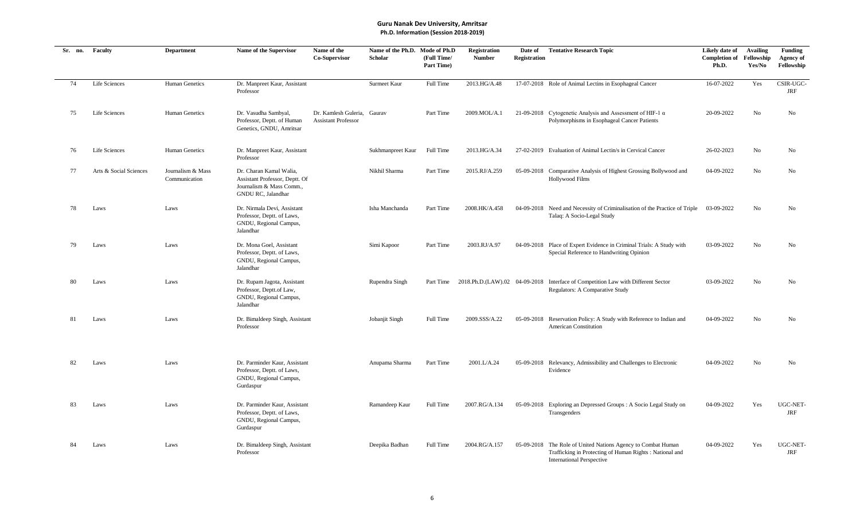| Sr. no. | Faculty                | <b>Department</b>                  | Name of the Supervisor                                                                                              | Name of the<br>Co-Supervisor                              | Name of the Ph.D. Mode of Ph.D<br><b>Scholar</b> | (Full Time/<br>Part Time) | <b>Registration</b><br><b>Number</b> | Date of<br>Registration | <b>Tentative Research Topic</b>                                                                                                                              | Likely date of<br><b>Completion of</b><br>Ph.D. | <b>Availing</b><br>Fellowship<br>Yes/No | <b>Funding</b><br><b>Agency of</b><br>Fellowship |
|---------|------------------------|------------------------------------|---------------------------------------------------------------------------------------------------------------------|-----------------------------------------------------------|--------------------------------------------------|---------------------------|--------------------------------------|-------------------------|--------------------------------------------------------------------------------------------------------------------------------------------------------------|-------------------------------------------------|-----------------------------------------|--------------------------------------------------|
| 74      | Life Sciences          | Human Genetics                     | Dr. Manpreet Kaur, Assistant<br>Professor                                                                           |                                                           | Surmeet Kaur                                     | Full Time                 | 2013.HG/A.48                         |                         | 17-07-2018 Role of Animal Lectins in Esophageal Cancer                                                                                                       | 16-07-2022                                      | Yes                                     | CSIR-UGC-<br>JRF                                 |
| 75      | Life Sciences          | <b>Human Genetics</b>              | Dr. Vasudha Sambyal,<br>Professor, Deptt. of Human<br>Genetics, GNDU, Amritsar                                      | Dr. Kamlesh Guleria, Gaurav<br><b>Assistant Professor</b> |                                                  | Part Time                 | 2009.MOL/A.1                         |                         | 21-09-2018 Cytogenetic Analysis and Assessment of HIF-1 $\alpha$<br>Polymorphisms in Esophageal Cancer Patients                                              | 20-09-2022                                      | No                                      | No                                               |
| 76      | Life Sciences          | <b>Human Genetics</b>              | Dr. Manpreet Kaur, Assistant<br>Professor                                                                           |                                                           | Sukhmanpreet Kaur                                | Full Time                 | 2013.HG/A.34                         |                         | 27-02-2019 Evaluation of Animal Lectin/s in Cervical Cancer                                                                                                  | 26-02-2023                                      | No                                      | No                                               |
| 77      | Arts & Social Sciences | Journalism & Mass<br>Communication | Dr. Charan Kamal Walia.<br>Assistant Professor, Deptt. Of<br>Journalism & Mass Comm.,<br>GNDU RC, Jalandhar         |                                                           | Nikhil Sharma                                    | Part Time                 | 2015.RJ/A.259                        |                         | 05-09-2018 Comparative Analysis of Highest Grossing Bollywood and<br>Hollywood Films                                                                         | 04-09-2022                                      | No                                      | No                                               |
| 78      | Laws                   | Laws                               | Dr. Nirmala Devi, Assistant<br>Professor, Deptt. of Laws,<br>GNDU, Regional Campus,<br>Jalandhar                    |                                                           | Isha Manchanda                                   | Part Time                 | 2008.HK/A.458                        |                         | 04-09-2018 Need and Necessity of Criminalisation of the Practice of Triple<br>Talaq: A Socio-Legal Study                                                     | 03-09-2022                                      | No                                      | No                                               |
| 79      | Laws                   | Laws                               | Dr. Mona Goel, Assistant<br>Professor, Deptt. of Laws,<br>GNDU, Regional Campus,<br>Jalandhar                       |                                                           | Simi Kapoor                                      | Part Time                 | 2003.RJ/A.97                         |                         | 04-09-2018 Place of Expert Evidence in Criminal Trials: A Study with<br>Special Reference to Handwriting Opinion                                             | 03-09-2022                                      | No                                      | No                                               |
| 80      | Laws                   | Laws                               | Dr. Rupam Jagota, Assistant<br>Professor, Deptt.of Law,<br>GNDU, Regional Campus,<br>Jalandhar                      |                                                           | Rupendra Singh                                   | Part Time                 |                                      |                         | 2018.Ph.D.(LAW).02 04-09-2018 Interface of Competition Law with Different Sector<br>Regulators: A Comparative Study                                          | 03-09-2022                                      | No                                      | No                                               |
| 81      | Laws                   | Laws                               | Dr. Bimaldeep Singh, Assistant<br>Professor                                                                         |                                                           | Jobanjit Singh                                   | Full Time                 | 2009.SSS/A.22                        |                         | 05-09-2018 Reservation Policy: A Study with Reference to Indian and<br>American Constitution                                                                 | 04-09-2022                                      | No                                      | No                                               |
| 82      | Laws                   | Laws                               | Dr. Parminder Kaur, Assistant<br>Professor, Deptt. of Laws,<br>GNDU, Regional Campus,<br>$\operatorname{Gurdaspur}$ |                                                           | Anupama Sharma                                   | Part Time                 | 2001.L/A.24                          |                         | 05-09-2018 Relevancy, Admissibility and Challenges to Electronic<br>Evidence                                                                                 | 04-09-2022                                      | No                                      | No                                               |
| 83      | Laws                   | Laws                               | Dr. Parminder Kaur, Assistant<br>Professor, Deptt. of Laws,<br>GNDU, Regional Campus,<br>Gurdaspur                  |                                                           | Ramandeep Kaur                                   | Full Time                 | 2007.RG/A.134                        |                         | 05-09-2018 Exploring an Depressed Groups: A Socio Legal Study on<br>Transgenders                                                                             | 04-09-2022                                      | Yes                                     | UGC-NET-<br>JRF                                  |
| 84      | Laws                   | Laws                               | Dr. Bimaldeep Singh, Assistant<br>Professor                                                                         |                                                           | Deepika Badhan                                   | Full Time                 | 2004.RG/A.157                        |                         | 05-09-2018 The Role of United Nations Agency to Combat Human<br>Trafficking in Protecting of Human Rights : National and<br><b>International Perspective</b> | 04-09-2022                                      | Yes                                     | UGC-NET-<br>JRF                                  |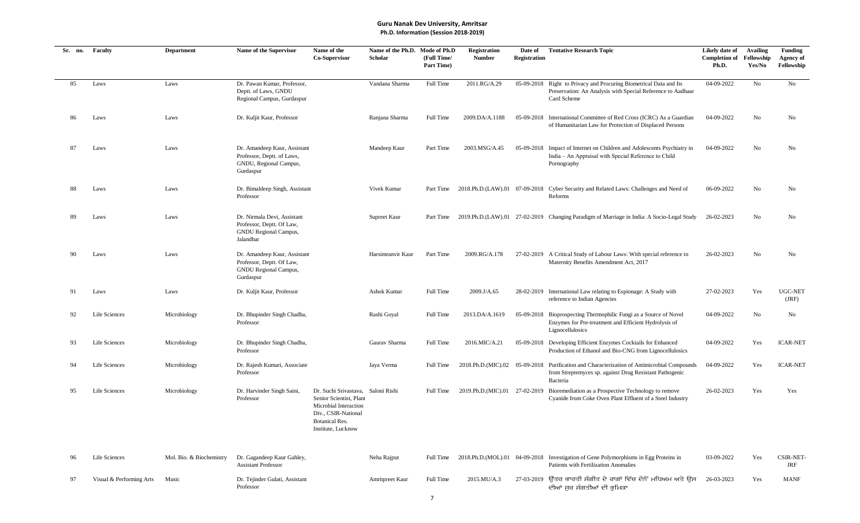| Sr. no. | Faculty                  | <b>Department</b>        | Name of the Supervisor                                                                            | Name of the<br>Co-Supervisor                                                                                                                    | Name of the Ph.D.<br>Scholar | Mode of Ph.D<br>(Full Time/<br><b>Part Time)</b> | <b>Registration</b><br><b>Number</b> | Date of<br><b>Registration</b> | <b>Tentative Research Topic</b>                                                                                                                                   | Likely date of<br><b>Completion of</b><br>Ph.D. | <b>Availing</b><br>Fellowship<br>Yes/No | <b>Funding</b><br>Agency of<br>Fellowship |
|---------|--------------------------|--------------------------|---------------------------------------------------------------------------------------------------|-------------------------------------------------------------------------------------------------------------------------------------------------|------------------------------|--------------------------------------------------|--------------------------------------|--------------------------------|-------------------------------------------------------------------------------------------------------------------------------------------------------------------|-------------------------------------------------|-----------------------------------------|-------------------------------------------|
| 85      | Laws                     | Laws                     | Dr. Pawan Kumar, Professor,<br>Deptt. of Laws, GNDU<br>Regional Campus, Gurdaspur                 |                                                                                                                                                 | Vandana Sharma               | Full Time                                        | 2011.RG/A.29                         |                                | 05-09-2018 Right to Privacy and Procuring Biometrical Data and Its<br>Preservation: An Analysis with Special Reference to Aadhaar<br>Card Scheme                  | 04-09-2022                                      | No                                      | No                                        |
| 86      | Laws                     | Laws                     | Dr. Kuljit Kaur, Professor                                                                        |                                                                                                                                                 | Ranjana Sharma               | Full Time                                        | 2009.DA/A.1188                       |                                | 05-09-2018 International Committee of Red Cross (ICRC) As a Guardian<br>of Humanitarian Law for Protection of Displaced Persons                                   | 04-09-2022                                      | No                                      | No                                        |
| 87      | Laws                     | Laws                     | Dr. Amandeep Kaur, Assistant<br>Professor, Deptt. of Laws,<br>GNDU, Regional Campus,<br>Gurdaspur |                                                                                                                                                 | Mandeep Kaur                 | Part Time                                        | 2003.MSG/A.45                        |                                | 05-09-2018 Impact of Internet on Children and Adolescents Psychiatry in<br>India - An Appraisal with Special Reference to Child<br>Pornography                    | 04-09-2022                                      | No                                      | No                                        |
| 88      | Laws                     | Laws                     | Dr. Bimaldeep Singh, Assistant<br>Professor                                                       |                                                                                                                                                 | Vivek Kumar                  |                                                  |                                      |                                | Part Time 2018.Ph.D.(LAW).01 07-09-2018 Cyber Security and Related Laws: Challenges and Need of<br>Reforms                                                        | 06-09-2022                                      | No                                      | No                                        |
| 89      | Laws                     | Laws                     | Dr. Nirmala Devi, Assistant<br>Professor, Deptt. Of Law,<br>GNDU Regional Campus,<br>Jalandhar    |                                                                                                                                                 | Supreet Kaur                 |                                                  |                                      |                                | Part Time 2019.Ph.D.(LAW).01 27-02-2019 Changing Paradigm of Marriage in India: A Socio-Legal Study                                                               | 26-02-2023                                      | No                                      | No                                        |
| 90      | Laws                     | Laws                     | Dr. Amandeep Kaur, Assistant<br>Professor, Deptt. Of Law,<br>GNDU Regional Campus,<br>Gurdaspur   |                                                                                                                                                 | Harsimranvir Kaur            | Part Time                                        | 2009.RG/A.178                        |                                | 27-02-2019 A Critical Study of Labour Laws: With special reference to<br>Maternity Benefits Amendment Act, 2017                                                   | 26-02-2023                                      | No                                      | No                                        |
| 91      | Laws                     | Laws                     | Dr. Kuljit Kaur, Professor                                                                        |                                                                                                                                                 | Ashok Kumar                  | Full Time                                        | 2009.J/A.65                          |                                | 28-02-2019 International Law relating to Espionage: A Study with<br>reference to Indian Agencies                                                                  | 27-02-2023                                      | Yes                                     | UGC-NET<br>(JRF)                          |
| 92      | Life Sciences            | Microbiology             | Dr. Bhupinder Singh Chadha,<br>Professor                                                          |                                                                                                                                                 | Rashi Goyal                  | Full Time                                        | 2013.DA/A.1619                       |                                | 05-09-2018 Bioprospecting Thermophilic Fungi as a Source of Novel<br>Enzymes for Pre-treatment and Efficient Hydrolysis of<br>Lignocellulosics                    | 04-09-2022                                      | No                                      | No                                        |
| 93      | Life Sciences            | Microbiology             | Dr. Bhupinder Singh Chadha,<br>Professor                                                          |                                                                                                                                                 | Gaurav Sharma                | Full Time                                        | 2016.MIC/A.21                        |                                | 05-09-2018 Developing Efficient Enzymes Cocktails for Enhanced<br>Production of Ethanol and Bio-CNG from Lignocellulosics                                         | 04-09-2022                                      | Yes                                     | <b>ICAR-NET</b>                           |
| 94      | Life Sciences            | Microbiology             | Dr. Rajesh Kumari, Associate<br>Professor                                                         |                                                                                                                                                 | Jaya Verma                   | Full Time                                        |                                      |                                | 2018.Ph.D.(MIC).02 05-09-2018 Purification and Characterization of Antimicrobial Compounds<br>from Streptemyces sp. against Drug Resistant Pathogenic<br>Bacteria | 04-09-2022                                      | Yes                                     | <b>ICAR-NET</b>                           |
| 95      | Life Sciences            | Microbiology             | Dr. Harvinder Singh Saini,<br>Professor                                                           | Dr. Suchi Srivastava,<br>Senior Scientist, Plant<br>Microbial Interaction<br>Div., CSIR-National<br><b>Botanical Res.</b><br>Institute, Lucknow | Saloni Rishi                 | Full Time                                        |                                      |                                | 2019.Ph.D.(MIC).01 27-02-2019 Bioremediation as a Prospective Technology to remove<br>Cyanide from Coke Oven Plant Effluent of a Steel Industry                   | 26-02-2023                                      | Yes                                     | Yes                                       |
| 96      | Life Sciences            | Mol. Bio. & Biochemistry | Dr. Gagandeep Kaur Gahley,<br><b>Assistant Professor</b>                                          |                                                                                                                                                 | Neha Rajput                  |                                                  |                                      |                                | Full Time 2018.Ph.D.(MOL).01 04-09-2018 Investigation of Gene Polymorphisms in Egg Proteins in<br>Patients with Fertilization Anomalies                           | 03-09-2022                                      | Yes                                     | <b>CSIR-NET-</b><br>JRF                   |
| 97      | Visual & Performing Arts | Music                    | Dr. Tejinder Gulati, Assistant<br>Professor                                                       |                                                                                                                                                 | Amritpreet Kaur              | Full Time                                        | 2015.MU/A.3                          |                                | 27-03-2019 ਉੱਤਰ ਭਾਰਤੀ ਸੰਗੀਤ ਦੇ ਰਾਗਾਂ ਵਿੱਚ ਦੋਨੋਂ ਮਧਿਅਮ ਅਤੇ ਉਸ<br>ਦੀਆਂ ਸੂਰ ਸੰਗਤੀਆਂ ਦੀ ਭੂਮਿਕਾ                                                                        | 26-03-2023                                      | Yes                                     | MANF                                      |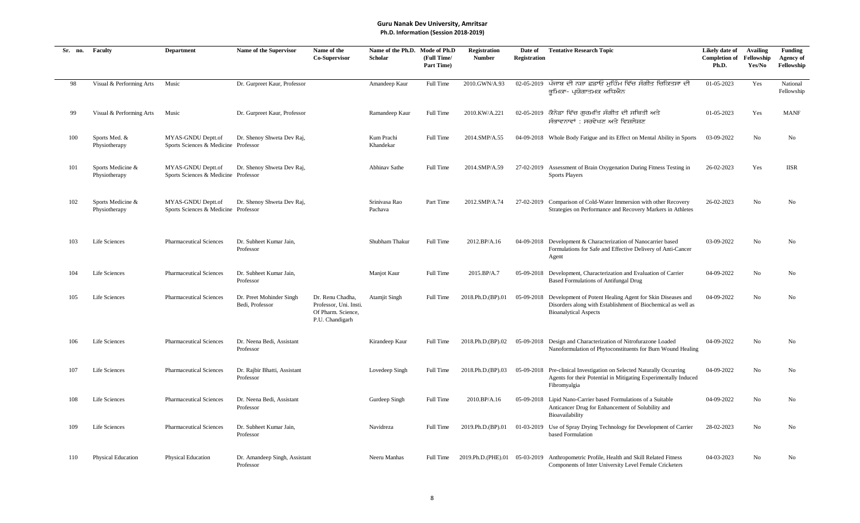| Sr. no. | Faculty                            | <b>Department</b>                                          | <b>Name of the Supervisor</b>               | Name of the<br><b>Co-Supervisor</b>                                                 | Name of the Ph.D.<br><b>Scholar</b> | Mode of Ph.D<br>(Full Time/<br>Part Time) | <b>Registration</b><br><b>Number</b> | Date of<br><b>Registration</b> | <b>Tentative Research Topic</b>                                                                                                                                      | Likely date of<br><b>Completion of</b><br>Ph.D. | <b>Availing</b><br>Fellowship<br>Yes/No | <b>Funding</b><br><b>Agency of</b><br>Fellowship |
|---------|------------------------------------|------------------------------------------------------------|---------------------------------------------|-------------------------------------------------------------------------------------|-------------------------------------|-------------------------------------------|--------------------------------------|--------------------------------|----------------------------------------------------------------------------------------------------------------------------------------------------------------------|-------------------------------------------------|-----------------------------------------|--------------------------------------------------|
| 98      | Visual & Performing Arts           | Music                                                      | Dr. Gurpreet Kaur, Professor                |                                                                                     | Amandeep Kaur                       | Full Time                                 | 2010.GWN/A.93                        |                                | 02-05-2019 ਪੰਜਾਬ ਦੀ ਨਸ਼ਾ ਛਡਾਓ ਮੁਹਿੰਮ ਵਿੱਚ ਸੰਗੀਤ ਚਿਕਿਤਸਾ ਦੀ<br>ਭਮਿਕਾ- ਪਯੋਗਾਤਮਕ ਅਧਿਐਨ                                                                                  | 01-05-2023                                      | Yes                                     | National<br>Fellowship                           |
| 99      | Visual & Performing Arts           | Music                                                      | Dr. Gurpreet Kaur, Professor                |                                                                                     | Ramandeep Kaur                      | Full Time                                 | 2010.KW/A.221                        |                                | 02-05-2019 ਕੈਨੇਡਾ ਵਿੱਚ ਗੁਰਮਤਿ ਸੰਗੀਤ ਦੀ ਸਥਿਤੀ ਅਤੇ<br>ਸੰਭਾਵਨਾਵਾਂ : ਸਰਵੇਖਣ ਅਤੇ ਵਿਸ਼ਲੇਸ਼ਣ                                                                                | 01-05-2023                                      | Yes                                     | <b>MANF</b>                                      |
| 100     | Sports Med. &<br>Physiotherapy     | MYAS-GNDU Deptt.of<br>Sports Sciences & Medicine Professor | Dr. Shenoy Shweta Dev Raj,                  |                                                                                     | Kum Prachi<br>Khandekar             | Full Time                                 | 2014.SMP/A.55                        |                                | 04-09-2018 Whole Body Fatigue and its Effect on Mental Ability in Sports                                                                                             | 03-09-2022                                      | No                                      | No                                               |
| 101     | Sports Medicine &<br>Physiotherapy | MYAS-GNDU Deptt.of<br>Sports Sciences & Medicine Professor | Dr. Shenoy Shweta Dev Raj,                  |                                                                                     | Abhinav Sathe                       | Full Time                                 | 2014.SMP/A.59                        |                                | 27-02-2019 Assessment of Brain Oxygenation During Fitness Testing in<br><b>Sports Players</b>                                                                        | 26-02-2023                                      | Yes                                     | <b>IISR</b>                                      |
| 102     | Sports Medicine &<br>Physiotherapy | MYAS-GNDU Deptt.of<br>Sports Sciences & Medicine Professor | Dr. Shenoy Shweta Dev Raj,                  |                                                                                     | Srinivasa Rao<br>Pachava            | Part Time                                 | 2012.SMP/A.74                        |                                | 27-02-2019 Comparison of Cold-Water Immersion with other Recovery<br>Strategies on Performance and Recovery Markers in Athletes                                      | 26-02-2023                                      | No                                      | No                                               |
| 103     | Life Sciences                      | <b>Pharmaceutical Sciences</b>                             | Dr. Subheet Kumar Jain,<br>Professor        |                                                                                     | Shubham Thakur                      | Full Time                                 | 2012.BP/A.16                         |                                | 04-09-2018 Development & Characterization of Nanocarrier based<br>Formulations for Safe and Effective Delivery of Anti-Cancer<br>Agent                               | 03-09-2022                                      | No                                      | No                                               |
| 104     | Life Sciences                      | <b>Pharmaceutical Sciences</b>                             | Dr. Subheet Kumar Jain,<br>Professor        |                                                                                     | Manjot Kaur                         | Full Time                                 | 2015.BP/A.7                          |                                | 05-09-2018 Development, Characterization and Evaluation of Carrier<br>Based Formulations of Antifungal Drug                                                          | 04-09-2022                                      | No                                      | No                                               |
| 105     | Life Sciences                      | <b>Pharmaceutical Sciences</b>                             | Dr. Preet Mohinder Singh<br>Bedi, Professor | Dr. Renu Chadha,<br>Professor, Uni. Insti.<br>Of Pharm. Science,<br>P.U. Chandigarh | <b>Atamjit Singh</b>                | Full Time                                 | 2018.Ph.D.(BP).01                    |                                | 05-09-2018 Development of Potent Healing Agent for Skin Diseases and<br>Disorders along with Establishment of Biochemical as well as<br><b>Bioanalytical Aspects</b> | 04-09-2022                                      | No                                      | No                                               |
| 106     | Life Sciences                      | <b>Pharmaceutical Sciences</b>                             | Dr. Neena Bedi, Assistant<br>Professor      |                                                                                     | Kirandeep Kaur                      | <b>Full Time</b>                          | 2018.Ph.D.(BP).02                    |                                | 05-09-2018 Design and Characterization of Nitrofurazone Loaded<br>Nanoformulation of Phytoconstituents for Burn Wound Healing                                        | 04-09-2022                                      | No                                      | N <sub>o</sub>                                   |
| 107     | Life Sciences                      | <b>Pharmaceutical Sciences</b>                             | Dr. Rajbir Bhatti, Assistant<br>Professor   |                                                                                     | Lovedeep Singh                      | <b>Full Time</b>                          | 2018.Ph.D.(BP).03                    |                                | 05-09-2018 Pre-clinical Investigation on Selected Naturally Occurring<br>Agents for their Potential in Mitigating Experimentally Induced<br>Fibromyalgia             | 04-09-2022                                      | No                                      | N <sub>0</sub>                                   |
| 108     | Life Sciences                      | <b>Pharmaceutical Sciences</b>                             | Dr. Neena Bedi, Assistant<br>Professor      |                                                                                     | Gurdeep Singh                       | Full Time                                 | 2010.BP/A.16                         |                                | 05-09-2018 Lipid Nano-Carrier based Formulations of a Suitable<br>Anticancer Drug for Enhancement of Solubility and<br>Bioavailability                               | 04-09-2022                                      | No                                      | No                                               |
| 109     | Life Sciences                      | <b>Pharmaceutical Sciences</b>                             | Dr. Subheet Kumar Jain,<br>Professor        |                                                                                     | Navidreza                           | <b>Full Time</b>                          | 2019.Ph.D.(BP).01                    |                                | 01-03-2019 Use of Spray Drying Technology for Development of Carrier<br>based Formulation                                                                            | 28-02-2023                                      | No                                      | No                                               |
| 110     | <b>Physical Education</b>          | Physical Education                                         | Dr. Amandeep Singh, Assistant<br>Professor  |                                                                                     | Neeru Manhas                        | Full Time                                 |                                      |                                | 2019.Ph.D.(PHE).01 05-03-2019 Anthropometric Profile, Health and Skill Related Fitness<br>Components of Inter University Level Female Cricketers                     | 04-03-2023                                      | N <sub>o</sub>                          | No.                                              |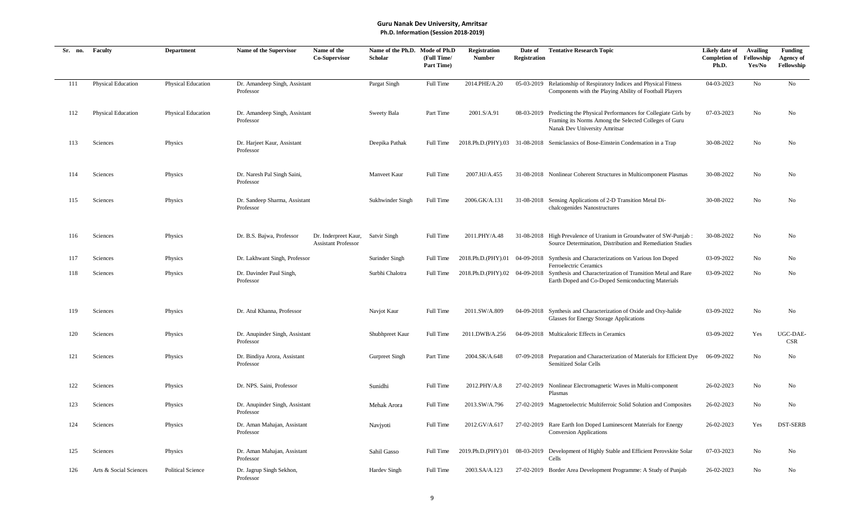| Sr. no. | Faculty                | <b>Department</b>        | Name of the Supervisor                      | Name of the<br>Co-Supervisor                       | Name of the Ph.D. Mode of Ph.D<br>Scholar | (Full Time/<br>Part Time) | <b>Registration</b><br><b>Number</b> | Date of<br><b>Registration</b> | <b>Tentative Research Topic</b>                                                                                                                                   | Likely date of<br><b>Completion of</b><br>Ph.D. | <b>Availing</b><br>Fellowship<br>Yes/No | <b>Funding</b><br><b>Agency of</b><br>Fellowship |
|---------|------------------------|--------------------------|---------------------------------------------|----------------------------------------------------|-------------------------------------------|---------------------------|--------------------------------------|--------------------------------|-------------------------------------------------------------------------------------------------------------------------------------------------------------------|-------------------------------------------------|-----------------------------------------|--------------------------------------------------|
| 111     | Physical Education     | Physical Education       | Dr. Amandeep Singh, Assistant<br>Professor  |                                                    | Pargat Singh                              | Full Time                 | 2014.PHE/A.20                        |                                | 05-03-2019 Relationship of Respiratory Indices and Physical Fitness<br>Components with the Playing Ability of Football Players                                    | 04-03-2023                                      | No                                      | No                                               |
| 112     | Physical Education     | Physical Education       | Dr. Amandeep Singh, Assistant<br>Professor  |                                                    | Sweety Bala                               | Part Time                 | 2001.S/A.91                          |                                | 08-03-2019 Predicting the Physical Performances for Collegiate Girls by<br>Framing its Norms Among the Selected Colleges of Guru<br>Nanak Dev University Amritsar | 07-03-2023                                      | No                                      | No                                               |
| 113     | Sciences               | Physics                  | Dr. Harjeet Kaur, Assistant<br>Professor    |                                                    | Deepika Pathak                            | Full Time                 |                                      |                                | 2018.Ph.D.(PHY).03 31-08-2018 Semiclassics of Bose-Einstein Condensation in a Trap                                                                                | 30-08-2022                                      | No                                      | No                                               |
| 114     | Sciences               | Physics                  | Dr. Naresh Pal Singh Saini,<br>Professor    |                                                    | Manveet Kaur                              | Full Time                 | 2007.HJ/A.455                        |                                | 31-08-2018 Nonlinear Coherent Structures in Multicomponent Plasmas                                                                                                | 30-08-2022                                      | No                                      | No                                               |
| 115     | Sciences               | Physics                  | Dr. Sandeep Sharma, Assistant<br>Professor  |                                                    | Sukhwinder Singh                          | Full Time                 | 2006.GK/A.131                        |                                | 31-08-2018 Sensing Applications of 2-D Transition Metal Di-<br>chalcogenides Nanostructures                                                                       | 30-08-2022                                      | No                                      | No                                               |
| 116     | Sciences               | Physics                  | Dr. B.S. Bajwa, Professor                   | Dr. Inderpreet Kaur,<br><b>Assistant Professor</b> | <b>Satvir Singh</b>                       | Full Time                 | 2011.PHY/A.48                        |                                | 31-08-2018 High Prevalence of Uranium in Groundwater of SW-Punjab:<br>Source Determination, Distribution and Remediation Studies                                  | 30-08-2022                                      | $\rm No$                                | No                                               |
| 117     | Sciences               | Physics                  | Dr. Lakhwant Singh, Professor               |                                                    | Surinder Singh                            | Full Time                 | 2018.Ph.D.(PHY).01                   |                                | 04-09-2018 Synthesis and Characterizations on Various Ion Doped                                                                                                   | 03-09-2022                                      | No                                      | No                                               |
| 118     | Sciences               | Physics                  | Dr. Davinder Paul Singh,<br>Professor       |                                                    | Surbhi Chalotra                           | Full Time                 | 2018.Ph.D.(PHY).02 04-09-2018        |                                | Ferroelectric Ceramics<br>Synthesis and Characterization of Transition Metal and Rare<br>Earth Doped and Co-Doped Semiconducting Materials                        | 03-09-2022                                      | No                                      | No                                               |
| 119     | Sciences               | Physics                  | Dr. Atul Khanna, Professor                  |                                                    | Navjot Kaur                               | Full Time                 | 2011.SW/A.809                        |                                | 04-09-2018 Synthesis and Characterization of Oxide and Oxy-halide<br>Glasses for Energy Storage Applications                                                      | 03-09-2022                                      | No                                      | No                                               |
| 120     | Sciences               | Physics                  | Dr. Anupinder Singh, Assistant<br>Professor |                                                    | Shubhpreet Kaur                           | Full Time                 | 2011.DWB/A.256                       |                                | 04-09-2018 Multicaloric Effects in Ceramics                                                                                                                       | 03-09-2022                                      | Yes                                     | UGC-DAE-<br><b>CSR</b>                           |
| 121     | Sciences               | Physics                  | Dr. Bindiya Arora, Assistant<br>Professor   |                                                    | <b>Gurpreet Singh</b>                     | Part Time                 | 2004.SK/A.648                        |                                | 07-09-2018 Preparation and Characterization of Materials for Efficient Dye<br><b>Sensitized Solar Cells</b>                                                       | 06-09-2022                                      | No                                      | No                                               |
| 122     | Sciences               | Physics                  | Dr. NPS. Saini, Professor                   |                                                    | Sunidhi                                   | Full Time                 | 2012.PHY/A.8                         |                                | 27-02-2019 Nonlinear Electromagnetic Waves in Multi-component<br>Plasmas                                                                                          | 26-02-2023                                      | No                                      | No                                               |
| 123     | Sciences               | Physics                  | Dr. Anupinder Singh, Assistant<br>Professor |                                                    | Mehak Arora                               | Full Time                 | 2013.SW/A.796                        |                                | 27-02-2019 Magnetoelectric Multiferroic Solid Solution and Composites                                                                                             | 26-02-2023                                      | No                                      | No                                               |
| 124     | Sciences               | Physics                  | Dr. Aman Mahajan, Assistant<br>Professor    |                                                    | Navjyoti                                  | Full Time                 | 2012.GV/A.617                        |                                | 27-02-2019 Rare Earth Ion Doped Luminescent Materials for Energy<br><b>Conversion Applications</b>                                                                | 26-02-2023                                      | Yes                                     | <b>DST-SERB</b>                                  |
| 125     | Sciences               | Physics                  | Dr. Aman Mahajan, Assistant<br>Professor    |                                                    | Sahil Gasso                               | Full Time                 | 2019.Ph.D.(PHY).01                   | 08-03-2019                     | Development of Highly Stable and Efficient Perovskite Solar<br>Cells                                                                                              | 07-03-2023                                      | No                                      | No                                               |
| 126     | Arts & Social Sciences | <b>Political Science</b> | Dr. Jagrup Singh Sekhon,<br>Professor       |                                                    | Hardev Singh                              | Full Time                 | 2003.SA/A.123                        |                                | 27-02-2019 Border Area Development Programme: A Study of Punjab                                                                                                   | 26-02-2023                                      | No                                      | No                                               |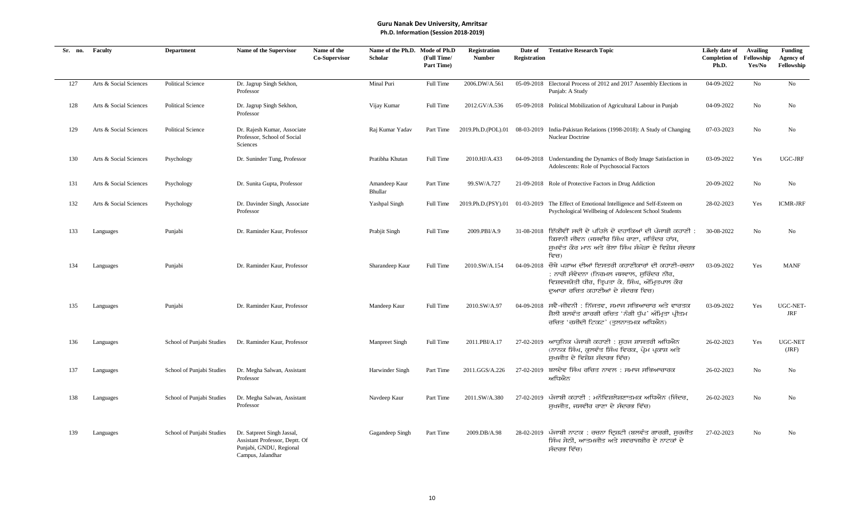| Sr. no. | Faculty                | <b>Department</b>         | Name of the Supervisor                                                                                       | Name of the<br>Co-Supervisor | Name of the Ph.D. Mode of Ph.D<br>Scholar | (Full Time/<br>Part Time) | <b>Registration</b><br><b>Number</b> | Date of<br><b>Registration</b> | <b>Tentative Research Topic</b>                                                                                                                                                          | Likely date of<br><b>Completion of</b><br>Ph.D. | <b>Availing</b><br>Fellowship<br>Yes/No | Funding<br>Agency of<br>Fellowship |
|---------|------------------------|---------------------------|--------------------------------------------------------------------------------------------------------------|------------------------------|-------------------------------------------|---------------------------|--------------------------------------|--------------------------------|------------------------------------------------------------------------------------------------------------------------------------------------------------------------------------------|-------------------------------------------------|-----------------------------------------|------------------------------------|
| 127     | Arts & Social Sciences | <b>Political Science</b>  | Dr. Jagrup Singh Sekhon,<br>Professor                                                                        |                              | Minal Puri                                | Full Time                 | 2006.DW/A.561                        |                                | 05-09-2018 Electoral Process of 2012 and 2017 Assembly Elections in<br>Punjab: A Study                                                                                                   | 04-09-2022                                      | No                                      | No                                 |
| 128     | Arts & Social Sciences | <b>Political Science</b>  | Dr. Jagrup Singh Sekhon,<br>Professor                                                                        |                              | Vijay Kumar                               | Full Time                 | 2012.GV/A.536                        |                                | 05-09-2018 Political Mobilization of Agricultural Labour in Punjab                                                                                                                       | 04-09-2022                                      | No                                      | No                                 |
| 129     | Arts & Social Sciences | <b>Political Science</b>  | Dr. Rajesh Kumar, Associate<br>Professor, School of Social<br>Sciences                                       |                              | Raj Kumar Yadav                           | Part Time                 | 2019.Ph.D.(POL).01                   |                                | 08-03-2019 India-Pakistan Relations (1998-2018): A Study of Changing<br>Nuclear Doctrine                                                                                                 | 07-03-2023                                      | No                                      | No                                 |
| 130     | Arts & Social Sciences | Psychology                | Dr. Suninder Tung, Professor                                                                                 |                              | Pratibha Khutan                           | Full Time                 | 2010.HJ/A.433                        |                                | 04-09-2018 Understanding the Dynamics of Body Image Satisfaction in<br>Adolescents: Role of Psychosocial Factors                                                                         | 03-09-2022                                      | Yes                                     | UGC-JRF                            |
| 131     | Arts & Social Sciences | Psychology                | Dr. Sunita Gupta, Professor                                                                                  |                              | Amandeep Kaur<br>Bhullar                  | Part Time                 | 99.SW/A.727                          |                                | 21-09-2018 Role of Protective Factors in Drug Addiction                                                                                                                                  | 20-09-2022                                      | No                                      | No                                 |
| 132     | Arts & Social Sciences | Psychology                | Dr. Davinder Singh, Associate<br>Professor                                                                   |                              | Yashpal Singh                             | Full Time                 | 2019.Ph.D.(PSY).01                   |                                | 01-03-2019 The Effect of Emotional Intelligence and Self-Esteem on<br>Psychological Wellbeing of Adolescent School Students                                                              | 28-02-2023                                      | Yes                                     | <b>ICMR-JRF</b>                    |
| 133     | Languages              | Punjabi                   | Dr. Raminder Kaur, Professor                                                                                 |                              | Prabjit Singh                             | Full Time                 | 2009.PBI/A.9                         |                                | 31-08-2018 ਇੱਕੀਵੀਂ ਸਦੀ ਦੇ ਪਹਿਲੇ ਦੋ ਦਹਾਕਿਆਂ ਦੀ ਪੰਜਾਬੀ ਕਹਾਣੀ :<br>ਕਿਸਾਨੀ ਜੀਵਨ (ਜਸਵੀਰ ਸਿੰਘ ਰਾਣਾ, ਜਤਿੰਦਰ ਹਾਂਸ,<br>ਸਖਵੰਤ ਕੌਰ ਮਾਨ ਅਤੇ ਭੋਲਾ ਸਿੰਘ ਸੰਘੇੜਾ ਦੇ ਵਿਸ਼ੇਸ਼ ਸੰਦਰਭ<br>ਵਿਚ)                | 30-08-2022                                      | No                                      | N <sub>o</sub>                     |
| 134     | Languages              | Punjabi                   | Dr. Raminder Kaur, Professor                                                                                 |                              | Sharandeep Kaur                           | Full Time                 | 2010.SW/A.154                        |                                | 04-09-2018 ਚੌਥੇ ਪੜਾਅ ਦੀਆਂ ਇਸਤਰੀ ਕਹਾਣੀਕਾਰਾਂ ਦੀ ਕਹਾਣੀ-ਰਚਨਾ<br>: ਨਾਰੀ ਸੰਵੇਦਨਾ (ਨਿਰਮਲ ਜਸਵਾਲ, ਸੁਰਿੰਦਰ ਨੀਰ,<br>ਵਿਸ਼ਵਜਯੋਤੀ ਧੀਰ, ਤਿਪਤਾ ਕੇ. ਸਿੰਘ, ਅੰਮਿਤਪਾਲ ਕੌਰ<br>ਦਆਰਾ ਰਚਿਤ ਕਹਾਣੀਆਂ ਦੇ ਸੰਦਰਭ ਵਿਚ) | 03-09-2022                                      | Yes                                     | <b>MANF</b>                        |
| 135     | Languages              | Punjabi                   | Dr. Raminder Kaur, Professor                                                                                 |                              | Mandeep Kaur                              | Full Time                 | 2010.SW/A.97                         |                                | 04-09-2018 ਸਵੈ-ਜੀਵਨੀ : ਨਿੱਜਤਵ, ਸਮਾਜ ਸਭਿਆਚਾਰ ਅਤੇ ਵਾਰਤਕ<br>ਸ਼ੈਲੀ ਬਲਵੰਤ ਗਾਰਗੀ ਰਚਿਤ 'ਨੰਗੀ ਧੁੱਪ' ਅੰਮ੍ਰਿਤਾ ਪ੍ਰੀਤਮ<br>ਰਚਿਤ 'ਰਸੀਦੀ ਟਿਕਟ' (ਤਲਨਾਤਮਕ ਅਧਿਐਨ)                                         | 03-09-2022                                      | Yes                                     | UGC-NET-<br>JRF                    |
| 136     | Languages              | School of Punjabi Studies | Dr. Raminder Kaur, Professor                                                                                 |                              | Manpreet Singh                            | Full Time                 | 2011.PBI/A.17                        |                                | 27-02-2019 ਆਧਨਿਕ ਪੰਜਾਬੀ ਕਹਾਣੀ : ਸਹਜ ਸ਼ਾਸਤਰੀ ਅਧਿਐਨ<br>(ਨਾਨਕ ਸਿੰਘ, ਕਲਵੰਤ ਸਿੰਘ ਵਿਰਕ, ਪੇਮ ਪਕਾਸ਼ ਅਤੇ<br>ਸਖਜੀਤ ਦੇ ਵਿਸ਼ੇਸ਼ ਸੰਦਰਭ ਵਿੱਚ)                                                          | 26-02-2023                                      | Yes                                     | <b>UGC-NET</b><br>(JRF)            |
| 137     | Languages              | School of Punjabi Studies | Dr. Megha Salwan, Assistant<br>Professor                                                                     |                              | Harwinder Singh                           | Part Time                 | 2011.GGS/A.226                       |                                | 27-02-2019 ਬਲਦੇਵ ਸਿੰਘ ਰਚਿਤ ਨਾਵਲ : ਸਮਾਜ ਸਭਿਆਚਾਰਕ<br>ਅਧਿਐਨ                                                                                                                                 | 26-02-2023                                      | No                                      | No                                 |
| 138     | Languages              | School of Punjabi Studies | Dr. Megha Salwan, Assistant<br>Professor                                                                     |                              | Navdeep Kaur                              | Part Time                 | 2011.SW/A.380                        | 27-02-2019                     | ਪੰਜਾਬੀ ਕਹਾਣੀ : ਮਨੋਵਿਸ਼ਲੇਸ਼ਣਾਤਮਕ ਅਧਿਐਨ (ਜਿੰਦਰ,<br>ਸੁਖਜੀਤ, ਜਸਵੀਰ ਰਾਣਾ ਦੇ ਸੰਦਰਭ ਵਿੱਚ)                                                                                                       | 26-02-2023                                      | No                                      | No                                 |
| 139     | Languages              | School of Punjabi Studies | Dr. Satpreet Singh Jassal,<br>Assistant Professor, Deptt. Of<br>Punjabi, GNDU, Regional<br>Campus, Jalandhar |                              | Gagandeep Singh                           | Part Time                 | 2009.DB/A.98                         | 28-02-2019                     | ਪੰਜਾਬੀ ਨਾਟਕ : ਰਚਨਾ ਦ੍ਰਿਸ਼ਟੀ (ਬਲਵੰਤ ਗਾਰਗੀ, ਸੂਰਜੀਤ<br>ਸਿੰਘ ਸੇਠੀ, ਆਤਮਜੀਤ ਅਤੇ ਸਵਰਾਜਬੀਰ ਦੇ ਨਾਟਕਾਂ ਦੇ<br>ਸੰਦਰਭ ਵਿੱਚ)                                                                           | 27-02-2023                                      | No                                      | No                                 |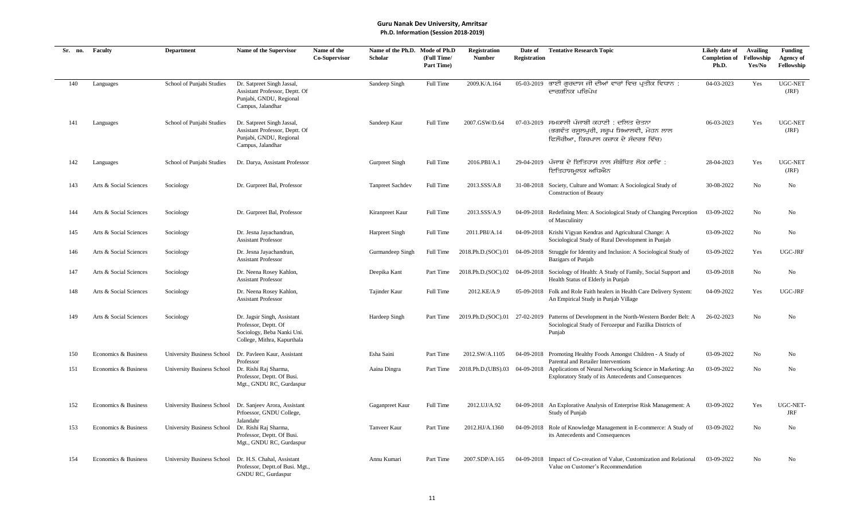| Sr. no. | Faculty                | <b>Department</b>                 | Name of the Supervisor                                                                                           | Name of the<br><b>Co-Supervisor</b> | Name of the Ph.D. Mode of Ph.D<br>Scholar | (Full Time/<br>Part Time) | <b>Registration</b><br><b>Number</b> | Date of<br><b>Registration</b> | <b>Tentative Research Topic</b>                                                                                                                                 | Likely date of<br><b>Completion of</b><br>Ph.D. | <b>Availing</b><br>Fellowship<br>Yes/No | <b>Funding</b><br><b>Agency of</b><br>Fellowship |
|---------|------------------------|-----------------------------------|------------------------------------------------------------------------------------------------------------------|-------------------------------------|-------------------------------------------|---------------------------|--------------------------------------|--------------------------------|-----------------------------------------------------------------------------------------------------------------------------------------------------------------|-------------------------------------------------|-----------------------------------------|--------------------------------------------------|
| 140     | Languages              | School of Punjabi Studies         | Dr. Satpreet Singh Jassal,<br>Assistant Professor, Deptt. Of<br>Punjabi, GNDU, Regional<br>Campus, Jalandhar     |                                     | Sandeep Singh                             | Full Time                 | 2009.K/A.164                         |                                | 05-03-2019 ਭਾਈ ਗਰਦਾਸ ਜੀ ਦੀਆਂ ਵਾਰਾਂ ਵਿਚ ਪਤੀਕ ਵਿਧਾਨ :<br>ਦਾਰਸ਼ਨਿਕ ਪਰਿਪੇਖ                                                                                          | 04-03-2023                                      | Yes                                     | <b>UGC-NET</b><br>(JRF)                          |
| 141     | Languages              | School of Punjabi Studies         | Dr. Satpreet Singh Jassal,<br>Assistant Professor, Deptt. Of<br>Punjabi, GNDU, Regional<br>Campus, Jalandhar     |                                     | Sandeep Kaur                              | Full Time                 | 2007.GSW/D.64                        |                                | 07-03-2019 ਸਮਕਾਲੀ ਪੰਜਾਬੀ ਕਹਾਣੀ : ਦਲਿਤ ਚੇਤਨਾ<br>(ਭਗਵੰਤ ਰਸਲਪਰੀ, ਸਰਪ ਸਿਆਲਵੀ, ਮੋਹਨ ਲਾਲ<br>ਫਿਲੌਰੀਆ, ਕਿਰਪਾਲ ਕਜ਼ਾਕ ਦੇ ਸੰਦਰਭ ਵਿੱਚ)                                      | 06-03-2023                                      | Yes                                     | <b>UGC-NET</b><br>(JRF)                          |
| 142     | Languages              | School of Punjabi Studies         | Dr. Darya, Assistant Professor                                                                                   |                                     | Gurpreet Singh                            | Full Time                 | 2016.PBI/A.1                         |                                | 29-04-2019 ਪੰਜਾਬ ਦੇ ਇਤਿਹਾਸ ਨਾਲ ਸੰਬੰਧਿਤ ਲੋਕ ਕਾਵਿ :<br>ਇਤਿਹਾਸਮੂਲਕ ਅਧਿਐਨ                                                                                           | 28-04-2023                                      | Yes                                     | UGC-NET<br>(JRF)                                 |
| 143     | Arts & Social Sciences | Sociology                         | Dr. Gurpreet Bal, Professor                                                                                      |                                     | <b>Tanpreet Sachdev</b>                   | <b>Full Time</b>          | 2013.SSS/A.8                         |                                | 31-08-2018 Society, Culture and Woman: A Sociological Study of<br><b>Construction of Beauty</b>                                                                 | 30-08-2022                                      | No                                      | No                                               |
| 144     | Arts & Social Sciences | Sociology                         | Dr. Gurpreet Bal, Professor                                                                                      |                                     | Kiranpreet Kaur                           | Full Time                 | 2013.SSS/A.9                         |                                | 04-09-2018 Redefining Men: A Sociological Study of Changing Perception<br>of Masculinity                                                                        | 03-09-2022                                      | No                                      | No                                               |
| 145     | Arts & Social Sciences | Sociology                         | Dr. Jesna Jayachandran,<br><b>Assistant Professor</b>                                                            |                                     | Harpreet Singh                            | Full Time                 | 2011.PBI/A.14                        |                                | 04-09-2018 Krishi Vigyan Kendras and Agricultural Change: A<br>Sociological Study of Rural Development in Punjab                                                | 03-09-2022                                      | No                                      | No                                               |
| 146     | Arts & Social Sciences | Sociology                         | Dr. Jesna Jayachandran,<br><b>Assistant Professor</b>                                                            |                                     | Gurmandeep Singh                          | <b>Full Time</b>          | 2018.Ph.D.(SOC).01                   |                                | 04-09-2018 Struggle for Identity and Inclusion: A Sociological Study of<br><b>Bazigars of Punjab</b>                                                            | 03-09-2022                                      | Yes                                     | UGC-JRF                                          |
| 147     | Arts & Social Sciences | Sociology                         | Dr. Neena Rosey Kahlon,<br><b>Assistant Professor</b>                                                            |                                     | Deepika Kant                              | Part Time                 |                                      |                                | 2018.Ph.D.(SOC).02 04-09-2018 Sociology of Health: A Study of Family, Social Support and<br>Health Status of Elderly in Punjab                                  | 03-09-2018                                      | No                                      | No                                               |
| 148     | Arts & Social Sciences | Sociology                         | Dr. Neena Rosey Kahlon,<br><b>Assistant Professor</b>                                                            |                                     | Tajinder Kaur                             | <b>Full Time</b>          | 2012.KE/A.9                          |                                | 05-09-2018 Folk and Role Faith healers in Health Care Delivery System:<br>An Empirical Study in Punjab Village                                                  | 04-09-2022                                      | Yes                                     | UGC-JRF                                          |
| 149     | Arts & Social Sciences | Sociology                         | Dr. Jagsir Singh, Assistant<br>Professor, Deptt. Of<br>Sociology, Beba Nanki Uni.<br>College, Mithra, Kapurthala |                                     | Hardeep Singh                             | Part Time                 |                                      |                                | 2019.Ph.D.(SOC).01 27-02-2019 Patterns of Development in the North-Western Border Belt: A<br>Sociological Study of Ferozepur and Fazilka Districts of<br>Punjab | 26-02-2023                                      | No                                      | No                                               |
| 150     | Economics & Business   | University Business School        | Dr. Pavleen Kaur, Assistant<br>Professor                                                                         |                                     | Esha Saini                                | Part Time                 | 2012.SW/A.1105                       |                                | 04-09-2018 Promoting Healthy Foods Amongst Children - A Study of<br>Parental and Retailer Interventions                                                         | 03-09-2022                                      | No                                      | No                                               |
| 151     | Economics & Business   | University Business School        | Dr. Rishi Raj Sharma,<br>Professor, Deptt. Of Busi.<br>Mgt., GNDU RC, Gurdaspur                                  |                                     | Aaina Dingra                              | Part Time                 | 2018.Ph.D.(UBS).03                   | 04-09-2018                     | Applications of Neural Networking Science in Marketing: An<br>Exploratory Study of its Antecedents and Consequences                                             | 03-09-2022                                      | No                                      | No                                               |
| 152     | Economics & Business   | University Business School        | Dr. Sanjeev Arora, Assistant<br>Prfoessor, GNDU College,                                                         |                                     | Gaganpreet Kaur                           | Full Time                 | 2012.UJ/A.92                         |                                | 04-09-2018 An Explorative Analysis of Enterprise Risk Management: A<br>Study of Punjab                                                                          | 03-09-2022                                      | Yes                                     | UGC-NET-<br><b>JRF</b>                           |
| 153     | Economics & Business   | <b>University Business School</b> | Jalandahr<br>Dr. Rishi Raj Sharma,<br>Professor, Deptt. Of Busi.<br>Mgt., GNDU RC, Gurdaspur                     |                                     | <b>Tanveer Kaur</b>                       | Part Time                 | 2012.HJ/A.1360                       |                                | 04-09-2018 Role of Knowledge Management in E-commerce: A Study of<br>its Antecedents and Consequences                                                           | 03-09-2022                                      | No                                      | No                                               |
| 154     | Economics & Business   | University Business School        | Dr. H.S. Chahal, Assistant<br>Professor, Deptt.of Busi. Mgt.,<br>GNDU RC, Gurdaspur                              |                                     | Annu Kumari                               | Part Time                 | 2007.SDP/A.165                       |                                | 04-09-2018 Impact of Co-creation of Value, Customization and Relational<br>Value on Customer's Recommendation                                                   | 03-09-2022                                      | No                                      | No                                               |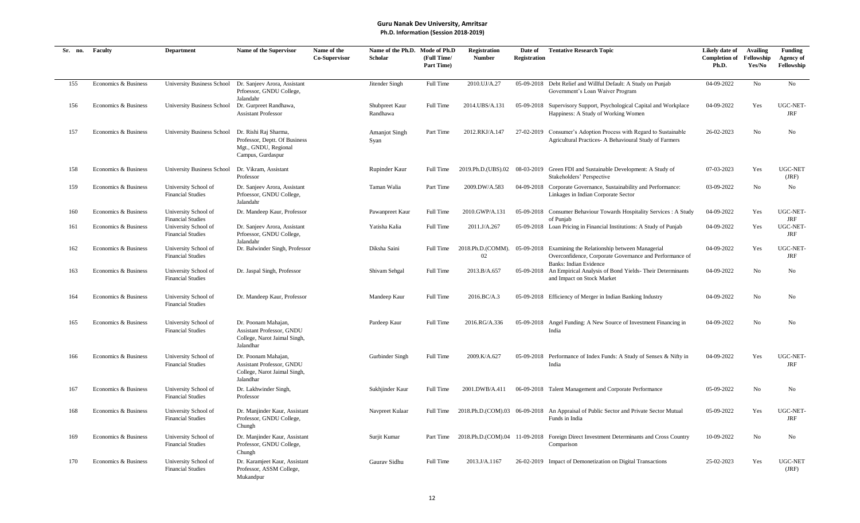| Sr. no. | Faculty              | <b>Department</b>                                | Name of the Supervisor                                                                              | Name of the<br>Co-Supervisor | Name of the Ph.D. Mode of Ph.D<br>Scholar | (Full Time/<br>Part Time) | Registration<br><b>Number</b> | Date of<br><b>Registration</b> | <b>Tentative Research Topic</b>                                                                                                                      | Likely date of<br><b>Completion of</b><br>Ph.D. | <b>Availing</b><br>Fellowship<br>Yes/No | <b>Funding</b><br>Agency of<br>Fellowship |
|---------|----------------------|--------------------------------------------------|-----------------------------------------------------------------------------------------------------|------------------------------|-------------------------------------------|---------------------------|-------------------------------|--------------------------------|------------------------------------------------------------------------------------------------------------------------------------------------------|-------------------------------------------------|-----------------------------------------|-------------------------------------------|
| 155     | Economics & Business | <b>University Business School</b>                | Dr. Sanjeev Arora, Assistant<br>Prfoessor, GNDU College,                                            |                              | Jitender Singh                            | Full Time                 | 2010.UJ/A.27                  |                                | 05-09-2018 Debt Relief and Willful Default: A Study on Punjab<br>Government's Loan Waiver Program                                                    | 04-09-2022                                      | No                                      | No                                        |
| 156     | Economics & Business | University Business School                       | Jalandahr<br>Dr. Gurpreet Randhawa,<br><b>Assistant Professor</b>                                   |                              | Shubpreet Kaur<br>Randhawa                | Full Time                 | 2014.UBS/A.131                |                                | 05-09-2018 Supervisory Support, Psychological Capital and Workplace<br>Happiness: A Study of Working Women                                           | 04-09-2022                                      | Yes                                     | UGC-NET-<br>JRF                           |
| 157     | Economics & Business | University Business School                       | Dr. Rishi Raj Sharma,<br>Professor, Deptt. Of Business<br>Mgt., GNDU, Regional<br>Campus, Gurdaspur |                              | <b>Amanjot Singh</b><br>Syan              | Part Time                 | 2012.RKJ/A.147                |                                | 27-02-2019 Consumer's Adoption Process with Regard to Sustainable<br>Agricultural Practices- A Behavioural Study of Farmers                          | 26-02-2023                                      | No                                      | N <sub>0</sub>                            |
| 158     | Economics & Business | University Business School                       | Dr. Vikram, Assistant<br>Professor                                                                  |                              | Rupinder Kaur                             | Full Time                 | 2019.Ph.D.(UBS).02            |                                | 08-03-2019 Green FDI and Sustainable Development: A Study of<br>Stakeholders' Perspective                                                            | 07-03-2023                                      | Yes                                     | UGC-NET<br>(JRF)                          |
| 159     | Economics & Business | University School of<br><b>Financial Studies</b> | Dr. Sanjeev Arora, Assistant<br>Prfoessor, GNDU College,<br>Jalandahr                               |                              | Taman Walia                               | Part Time                 | 2009.DW/A.583                 |                                | 04-09-2018 Corporate Governance, Sustainability and Performance:<br>Linkages in Indian Corporate Sector                                              | 03-09-2022                                      | No                                      | No                                        |
| 160     | Economics & Business | University School of<br><b>Financial Studies</b> | Dr. Mandeep Kaur, Professor                                                                         |                              | Pawanpreet Kaur                           | Full Time                 | 2010.GWP/A.131                |                                | 05-09-2018 Consumer Behaviour Towards Hospitality Services : A Study<br>of Punjab                                                                    | 04-09-2022                                      | Yes                                     | UGC-NET-<br>JRF                           |
| 161     | Economics & Business | University School of<br><b>Financial Studies</b> | Dr. Sanjeev Arora, Assistant<br>Prfoessor, GNDU College,<br>Jalandahr                               |                              | Yatisha Kalia                             | Full Time                 | 2011.J/A.267                  |                                | 05-09-2018 Loan Pricing in Financial Institutions: A Study of Punjab                                                                                 | 04-09-2022                                      | Yes                                     | UGC-NET-<br>JRF                           |
| 162     | Economics & Business | University School of<br><b>Financial Studies</b> | Dr. Balwinder Singh, Professor                                                                      |                              | Diksha Saini                              | Full Time                 | 2018.Ph.D.(COMM).<br>02       |                                | 05-09-2018 Examining the Relationship between Managerial<br>Overconfidence, Corporate Governance and Performance of<br><b>Banks: Indian Evidence</b> | 04-09-2022                                      | Yes                                     | UGC-NET-<br><b>JRF</b>                    |
| 163     | Economics & Business | University School of<br><b>Financial Studies</b> | Dr. Jaspal Singh, Professor                                                                         |                              | Shivam Sehgal                             | Full Time                 | 2013.B/A.657                  |                                | 05-09-2018 An Empirical Analysis of Bond Yields- Their Determinants<br>and Impact on Stock Market                                                    | 04-09-2022                                      | No                                      | No                                        |
| 164     | Economics & Business | University School of<br><b>Financial Studies</b> | Dr. Mandeep Kaur, Professor                                                                         |                              | Mandeep Kaur                              | Full Time                 | 2016.BC/A.3                   |                                | 05-09-2018 Efficiency of Merger in Indian Banking Industry                                                                                           | 04-09-2022                                      | No                                      | No                                        |
| 165     | Economics & Business | University School of<br><b>Financial Studies</b> | Dr. Poonam Mahajan,<br>Assistant Professor, GNDU<br>College, Narot Jaimal Singh,<br>Jalandhar       |                              | Pardeep Kaur                              | Full Time                 | 2016.RG/A.336                 |                                | 05-09-2018 Angel Funding: A New Source of Investment Financing in<br>India                                                                           | 04-09-2022                                      | No                                      | No                                        |
| 166     | Economics & Business | University School of<br><b>Financial Studies</b> | Dr. Poonam Mahajan,<br>Assistant Professor, GNDU<br>College, Narot Jaimal Singh,<br>Jalandhar       |                              | Gurbinder Singh                           | Full Time                 | 2009.K/A.627                  |                                | 05-09-2018 Performance of Index Funds: A Study of Sensex & Nifty in<br>India                                                                         | 04-09-2022                                      | Yes                                     | UGC-NET-<br>JRF                           |
| 167     | Economics & Business | University School of<br><b>Financial Studies</b> | Dr. Lakhwinder Singh,<br>Professor                                                                  |                              | Sukhjinder Kaur                           | Full Time                 | 2001.DWB/A.411                |                                | 06-09-2018 Talent Management and Corporate Performance                                                                                               | 05-09-2022                                      | No                                      | N <sub>o</sub>                            |
| 168     | Economics & Business | University School of<br><b>Financial Studies</b> | Dr. Manjinder Kaur, Assistant<br>Professor, GNDU College,<br>Chungh                                 |                              | Navpreet Kulaar                           | Full Time                 |                               |                                | 2018.Ph.D.(COM).03 06-09-2018 An Appraisal of Public Sector and Private Sector Mutual<br>Funds in India                                              | 05-09-2022                                      | Yes                                     | UGC-NET-<br><b>JRF</b>                    |
| 169     | Economics & Business | University School of<br><b>Financial Studies</b> | Dr. Manjinder Kaur, Assistant<br>Professor, GNDU College,<br>Chungh                                 |                              | Surjit Kumar                              | Part Time                 |                               |                                | 2018.Ph.D.(COM).04 11-09-2018 Foreign Direct Investment Determinants and Cross Country<br>Comparison                                                 | 10-09-2022                                      | No                                      | No                                        |
| 170     | Economics & Business | University School of<br><b>Financial Studies</b> | Dr. Karamjeet Kaur, Assistant<br>Professor, ASSM College,<br>Mukandpur                              |                              | Gaurav Sidhu                              | Full Time                 | 2013.J/A.1167                 |                                | 26-02-2019 Impact of Demonetization on Digital Transactions                                                                                          | 25-02-2023                                      | Yes                                     | UGC-NET<br>(JRF)                          |